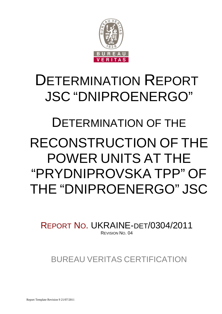

# DETERMINATION REPORT JSC "DNIPROENERGO"

# DETERMINATION OF THE RECONSTRUCTION OF THE POWER UNITS AT THE "PRYDNIPROVSKA TPP" OF THE "DNIPROENERGO" JSC

REPORT NO. UKRAINE-DET/0304/2011 REVISION NO. 04

BUREAU VERITAS CERTIFICATION

Report Template Revision 9 21/07/2011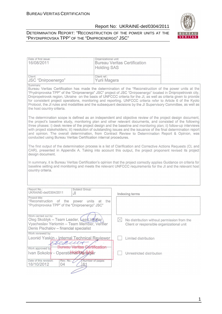#### DETERMINATION REPORT: "RECONSTRUCTION OF THE POWER UNITS AT THE "PRYDNIPROVSKA TPP" OF THE "DNIPROENERGO" JSC"



| Date of first issue:<br>16/08/2011                                                                                                                         | Organizational unit:<br><b>Holding SAS</b> | <b>Bureau Veritas Certification</b>                                                                                                                                                                                                                                                                                                                                                                                                                                                                                                                                                                                                                                                                                                                                                                                                                                                                                                                                                                                                                                                                                                                                                                                                                                             |  |
|------------------------------------------------------------------------------------------------------------------------------------------------------------|--------------------------------------------|---------------------------------------------------------------------------------------------------------------------------------------------------------------------------------------------------------------------------------------------------------------------------------------------------------------------------------------------------------------------------------------------------------------------------------------------------------------------------------------------------------------------------------------------------------------------------------------------------------------------------------------------------------------------------------------------------------------------------------------------------------------------------------------------------------------------------------------------------------------------------------------------------------------------------------------------------------------------------------------------------------------------------------------------------------------------------------------------------------------------------------------------------------------------------------------------------------------------------------------------------------------------------------|--|
| Client:<br>JSC "Dnirpoenergo"                                                                                                                              | Client ref.:<br>Yurii Magera               |                                                                                                                                                                                                                                                                                                                                                                                                                                                                                                                                                                                                                                                                                                                                                                                                                                                                                                                                                                                                                                                                                                                                                                                                                                                                                 |  |
| Summary:<br>the host country criteria.<br>conducted using Bureau Veritas Certification internal procedures.                                                |                                            | Bureau Veritas Certification has made the determination of the "Reconstruction of the power units at the<br>"Prydniprovska TPP" of the "Dniproenergo" JSC" project of JSC "Dnirpoenergo" located in Dnipropetrovsk city,<br>Dnipropetrovsk region, Ukraine on the basis of UNFCCC criteria for the JI, as well as criteria given to provide<br>for consistent project operations, monitoring and reporting. UNFCCC criteria refer to Article 6 of the Kyoto<br>Protocol, the JI rules and modalities and the subsequent decisions by the JI Supervisory Committee, as well as<br>The determination scope is defined as an independent and objective review of the project design document,<br>the project's baseline study, monitoring plan and other relevant documents, and consisted of the following<br>three phases: i) desk review of the project design and the baseline and monitoring plan; ii) follow-up interviews<br>with project stakeholders; iii) resolution of outstanding issues and the issuance of the final determination report<br>and opinion. The overall determination, from Contract Review to Determination Report & Opinion, was<br>The first output of the determination process is a list of Clarification and Corrective Actions Requests (CL and |  |
| design document.<br>country criteria.                                                                                                                      |                                            | CAR), presented in Appendix A. Taking into account this output, the project proponent revised its project<br>In summary, it is Bureau Veritas Certification's opinion that the project correctly applies Guidance on criteria for<br>baseline setting and monitoring and meets the relevant UNFCCC requirements for the JI and the relevant host                                                                                                                                                                                                                                                                                                                                                                                                                                                                                                                                                                                                                                                                                                                                                                                                                                                                                                                                |  |
| Report No.:<br>UKRAINE-det/0304/2011                                                                                                                       | Subject Group:<br>JI                       | Indexing terms                                                                                                                                                                                                                                                                                                                                                                                                                                                                                                                                                                                                                                                                                                                                                                                                                                                                                                                                                                                                                                                                                                                                                                                                                                                                  |  |
| Project title:<br>"Reconstruction<br>of the<br>"Prydniprovska TPP" of the "Dniproenergo" JSC"                                                              | units<br>power<br>at<br>the                |                                                                                                                                                                                                                                                                                                                                                                                                                                                                                                                                                                                                                                                                                                                                                                                                                                                                                                                                                                                                                                                                                                                                                                                                                                                                                 |  |
| Work carried out by:<br>Oleg Skoblyk - Team Leader, Lead Verifier<br>Vyacheslav Yeriomin - Team Member, Verifier<br>Denis Pischalov - financial specialist |                                            | $ \!\!\times\!\! $<br>No distribution without permission from the<br>Client or responsible organizational unit                                                                                                                                                                                                                                                                                                                                                                                                                                                                                                                                                                                                                                                                                                                                                                                                                                                                                                                                                                                                                                                                                                                                                                  |  |
| Work reviewed by:<br>Leonid Yaskin - Internal Technical Reviewer<br>Work approved by:                                                                      | Pillt<br><del>iértification</del>          | Limited distribution                                                                                                                                                                                                                                                                                                                                                                                                                                                                                                                                                                                                                                                                                                                                                                                                                                                                                                                                                                                                                                                                                                                                                                                                                                                            |  |
| Ivan Sokolov - Operationality analog<br>Date of this revision:<br>Rev. No.:<br>18/10/2012<br>04                                                            | Number of pages:<br>61                     | Unrestricted distribution                                                                                                                                                                                                                                                                                                                                                                                                                                                                                                                                                                                                                                                                                                                                                                                                                                                                                                                                                                                                                                                                                                                                                                                                                                                       |  |
|                                                                                                                                                            |                                            |                                                                                                                                                                                                                                                                                                                                                                                                                                                                                                                                                                                                                                                                                                                                                                                                                                                                                                                                                                                                                                                                                                                                                                                                                                                                                 |  |

1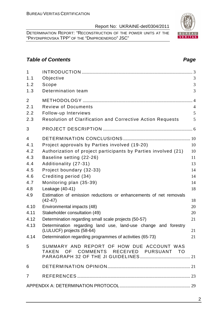DETERMINATION REPORT: "RECONSTRUCTION OF THE POWER UNITS AT THE "PRYDNIPROVSKA TPP" OF THE "DNIPROENERGO" JSC"

# **Table of Contents Page 2014**

| $\mathbf{1}$   |                                                                                     |                |
|----------------|-------------------------------------------------------------------------------------|----------------|
| 1.1            | Objective                                                                           | 3              |
| 1.2            | Scope                                                                               | 3              |
| 1.3            | Determination team                                                                  | 3              |
| 2              |                                                                                     | $\overline{4}$ |
| 2.1            | <b>Review of Documents</b>                                                          | $\overline{4}$ |
| 2.2            | Follow-up Interviews                                                                | 5              |
| 2.3            | <b>Resolution of Clarification and Corrective Action Requests</b>                   | 5              |
| 3              |                                                                                     |                |
| $\overline{4}$ |                                                                                     |                |
| 4.1            | Project approvals by Parties involved (19-20)                                       | 10             |
| 4.2            | Authorization of project participants by Parties involved (21)                      | 10             |
| 4.3            | Baseline setting (22-26)                                                            | 11             |
| 4.4            | Additionality (27-31)                                                               | 13             |
| 4.5            | Project boundary (32-33)                                                            | 14             |
| 4.6            | Crediting period (34)                                                               | 14             |
| 4.7            | Monitoring plan (35-39)                                                             | 14             |
| 4.8            | Leakage (40-41)                                                                     | 18             |
| 4.9            | Estimation of emission reductions or enhancements of net removals<br>$(42-47)$      | 18             |
| 4.10           | Environmental impacts (48)                                                          | 20             |
| 4.11           | Stakeholder consultation (49)                                                       | 20             |
| 4.12           | Determination regarding small scale projects (50-57)                                | 21             |
| 4.13           | Determination regarding land use, land-use change and forestry                      |                |
|                | (LULUCF) projects (58-64)                                                           | 21             |
| 4.14           | Determination regarding programmes of activities (65-73)                            | 21             |
| 5              | SUMMARY AND REPORT OF HOW DUE ACCOUNT WAS<br>TAKEN OF COMMENTS RECEIVED PURSUANT TO |                |
| 6              |                                                                                     |                |
| $\overline{7}$ |                                                                                     |                |
|                |                                                                                     |                |

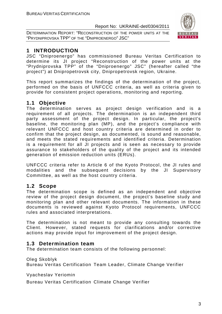DETERMINATION REPORT: "RECONSTRUCTION OF THE POWER UNITS AT THE "PRYDNIPROVSKA TPP" OF THE "DNIPROENERGO" JSC"



# **1 INTRODUCTION**

JSC "Dniproenergo" has commissioned Bureau Veritas Certification to determine its JI project "Reconstruction of the power units at the "Prydniprovska TPP" of the "Dniproenergo" JSC" (hereafter called "the project") at Dnipropetrovsk city, Dnipropetrovsk region, Ukraine.

This report summarizes the findings of the determination of the project, performed on the basis of UNFCCC criteria, as well as criteria given to provide for consistent project operations, monitoring and reporting.

# **1.1 Objective**

The determination serves as project design verification and is a requirement of all projects. The determination is an independent third party assessment of the project design. In particular, the project's baseline, the monitoring plan (MP), and the project's compliance with relevant UNFCCC and host country criteria are determined in order to confirm that the project design, as documented, is sound and reasonable, and meets the stated requirements and identified criteria. Determination is a requirement for all JI projects and is seen as necessary to provide assurance to stakeholders of the quality of the project and its intended generation of emission reduction units (ERUs).

UNFCCC criteria refer to Article 6 of the Kyoto Protocol, the JI rules and modalities and the subsequent decisions by the JI Supervisory Committee, as well as the host country criteria.

# **1.2 Scope**

The determination scope is defined as an independent and objective review of the project design document, the project's baseline study and monitoring plan and other relevant documents. The information in these documents is reviewed against Kyoto Protocol requirements, UNFCCC rules and associated interpretations.

The determination is not meant to provide any consulting towards the Client. However, stated requests for clarifications and/or corrective actions may provide input for improvement of the project design.

# **1.3 Determination team**

The determination team consists of the following personnel:

Oleg Skoblyk

Bureau Veritas Certification Team Leader, Climate Change Verifier

Vyacheslav Yeriomin

Bureau Veritas Certification Climate Change Verifier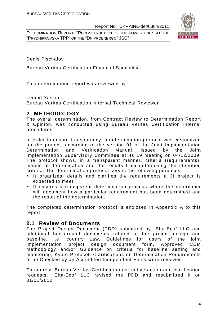DETERMINATION REPORT: "RECONSTRUCTION OF THE POWER UNITS AT THE "PRYDNIPROVSKA TPP" OF THE "DNIPROENERGO" JSC"



Denis Pischalov

Bureau Veritas Certification Financial Specialist

This determination report was reviewed by:

Leonid Yaskin

Bureau Veritas Certification, Internal Technical Reviewer

#### **2 METHODOLOGY**

The overall determination, from Contract Review to Determination Report & Opinion, was conducted using Bureau Veritas Certification internal procedures.

In order to ensure transparency, a determination protocol was customized for the project, according to the version 01 of the Joint Implementation Determination and Verification Manual, issued by the Joint Implementation Supervisory Committee at its 19 meeting on 04/12/2009. The protocol shows, in a transparent manner, criteria (requirements), means of determination and the results from determining the identified criteria. The determination protocol serves the following purposes:

- It organizes, details and clarifies the requirements a JI project is expected to meet;
- It ensures a transparent determination process where the determiner will document how a particular requirement has been determined and the result of the determination.

The completed determination protocol is enclosed in Appendix A to this report.

#### **2.1 Review of Documents**

The Project Design Document (PDD) submitted by "Elta-Eco" LLC and additional background documents related to the project design and baseline, i.e. country Law, Guidelines for users of the joint implementation project design document form, Approved CDM methodology and/or Guidance on criteria for baseline setting and monitoring, Kyoto Protocol, Clarifications on Determination Requirements to be Checked by an Accredited Independent Entity were reviewed.

To address Bureau Veritas Certification corrective action and clarification requests, "Elta-Eco" LLC revised the PDD and resubmitted it on 31/01/2012.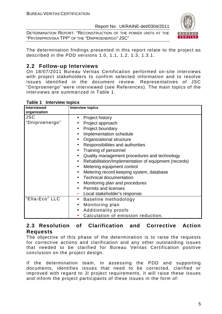DETERMINATION REPORT: "RECONSTRUCTION OF THE POWER UNITS AT THE "PRYDNIPROVSKA TPP" OF THE "DNIPROENERGO" JSC"



The determination findings presented in this report relate to the project as described in the PDD versions 1.0, 1.1, 1.2, 1.3, 1.3.1.

# **2.2 Follow-up Interviews**

On 18/07/2011 Bureau Veritas Certification performed on-site interviews with project stakeholders to confirm selected information and to resolve issues identified in the document review. Representatives of JSC "Dniproenergo" were interviewed (see References). The main topics of the interviews are summarized in Table 1.

| <b>Interviewed</b><br>organization | <b>Interview topics</b>                                           |
|------------------------------------|-------------------------------------------------------------------|
| <b>JSC</b>                         | Project history<br>$\bullet$                                      |
| "Dniproenergo"                     | Project approach                                                  |
|                                    | Project boundary                                                  |
|                                    | Implementation schedule<br>$\bullet$                              |
|                                    | Organizational structure                                          |
|                                    | Responsibilities and authorities<br>$\bullet$                     |
|                                    | Training of personnel<br>$\bullet$                                |
|                                    | Quality management procedures and technology<br>$\bullet$         |
|                                    | Rehabilitation/Implementation of equipment (records)<br>$\bullet$ |
|                                    | Metering equipment control<br>$\bullet$                           |
|                                    | Metering record keeping system, database<br>$\bullet$             |
|                                    | <b>Technical documentation</b>                                    |
|                                    | Monitoring plan and procedures                                    |
|                                    | <b>Permits and licenses</b>                                       |
|                                    | Local stakeholder's response.                                     |
| "Elta-Eco" LLC                     | Baseline methodology<br>$\bullet$                                 |
|                                    | Monitoring plan<br>$\bullet$                                      |
|                                    | <b>Additionality proofs</b><br>$\bullet$                          |
|                                    | Calculation of emission reduction.                                |

#### **Table 1 Interview topics**

#### **2.3 Resolution of Clarification and Corrective Action Requests**

The objective of this phase of the determination is to raise the requests for corrective actions and clarification and any other outstanding issues that needed to be clarified for Bureau Veritas Certification positive conclusion on the project design.

If the determination team, in assessing the PDD and supporting documents, identifies issues that need to be corrected, clarified or improved with regard to JI project requirements, it will raise these issues and inform the project participants of these issues in the form of: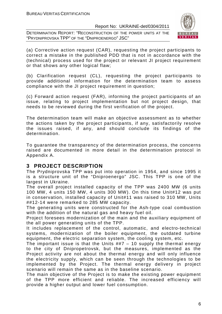DETERMINATION REPORT: "RECONSTRUCTION OF THE POWER UNITS AT THE "PRYDNIPROVSKA TPP" OF THE "DNIPROENERGO" JSC"



(a) Corrective action request (CAR), requesting the project participants to correct a mistake in the published PDD that is not in accordance with the (technical) process used for the project or relevant JI project requirement or that shows any other logical flaw;

(b) Clarification request (CL), requesting the project participants to provide additional information for the determination team to assess compliance with the JI project requirement in question;

(c) Forward action request (FAR), informing the project participants of an issue, relating to project implementation but not project design, that needs to be reviewed during the first verification of the project.

The determination team will make an objective assessment as to whether the actions taken by the project participants, if any, satisfactorily resolve the issues raised, if any, and should conclude its findings of the determination.

To guarantee the transparency of the determination process, the concerns raised are documented in more detail in the determination protocol in Appendix A.

# **3 PROJECT DESCRIPTION**

The Prydniprovska TPP was put into operation in 1954, and since 1995 it is a structure unit of the "Dniproenergo" JSC. This TPP is one of the largest in Ukraine.

The overall project installed capacity of the TPP was 2400 MW (6 units 100 MW, 4 units 150 MW, 4 units 300 MW). On this time Unit#12 was put in conservation, installed capacity of Unit#11 was raised to 310 MW, Units ##12-14 were remarked to 285 MW capacity.

The generating units were constructed for the Ash-type coal combustion with the addition of the natural gas and heavy fuel oil.

Project foresees modernization of the main and the auxiliary equipment of the all power generating units of the TPP.

It includes replacement of the control, automatic, and electro-technical systems, modernization of the boiler equipment, the outdated turbine equipment, the electric separation system, the cooling system, etc.

The important issue is that the Units  $\#$   $=$  10 supply the thermal energy to the city of Dnipropetrovsk, but the measures, implemented as the Project activity are not about the thermal energy and will only influence the electricity supply, which can be seen through the technologies to be implemented by the Project. The thermal energy delivery in project scenario will remain the same as in the baseline scenario.

The main objective of the Project is to make the existing power equipment of the TPP more efficient and reliable. The increased efficiency will provide a higher output and lower fuel consumption.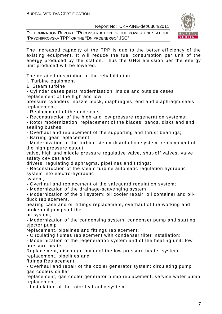DETERMINATION REPORT: "RECONSTRUCTION OF THE POWER UNITS AT THE "PRYDNIPROVSKA TPP" OF THE "DNIPROENERGO" JSC"



The increased capacity of the TPP is due to the better efficiency of the existing equipment. It will reduce the fuel consumption per unit of the energy produced by the station. Thus the GHG emission per the energy unit produced will be lowered.

The detailed description of the rehabilitation:

I. Turbine equipment

1. Steam turbine

**-** Cylinder cases parts modernization: inside and outside cases replacement of the high and low

pressure cylinders; nozzle block, diaphragms, end and diaphragm seals replacement;

**-** Replacement of the end seals;

**-** Reconstruction of the high and low pressure regeneration systems;

**-** Rotor modernization: replacement of the blades, bands, disks and end sealing bushes;

**-** Overhaul and replacement of the supporting and thrust bearings;

**-** Barring gear replacement;

**-** Modernization of the turbine steam-distribution system: replacement of the high pressure cutout

valve, high and middle pressure regulative valve, shut-off valves, valve safety devices and

drivers, regulating diaphragms, pipelines and fittings;

**-** Reconstruction of the steam turbine automatic regulation hydraulic system into electro-hydraulic

system;

**-** Overhaul and replacement of the safeguard regulation system;

**-** Modernization of the drainage-scavenging system;

**-** Modernization of the oil system: oil cooler repair, oil container and oilduck replacement,

bearing case and oil fittings replacement, overhaul of the working and broken oil pumps of the

oil system;

**-** Modernization of the condensing system: condenser pump and starting ejector pump

replacement, pipelines and fittings replacement;

**-** Circulating flumes replacement with condenser filter installation;

**-** Modernization of the regeneration system and of the heating unit: low pressure heater

Replacement, discharge pump of the low pressure heater system replacement, pipelines and

fittings Replacement;

**-** Overhaul and repair of the cooler generator system: circulating pump gas coolers chiller

replacement, gas cooler generator pump replacement, service water pump replacement;

**-** Installation of the rotor hydraulic system.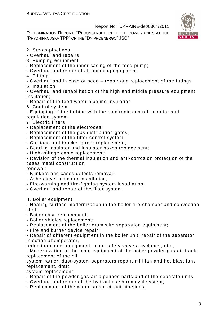DETERMINATION REPORT: "RECONSTRUCTION OF THE POWER UNITS AT THE "PRYDNIPROVSKA TPP" OF THE "DNIPROENERGO" JSC"



2. Steam-pipelines

**-** Overhaul and repairs.

- 3. Pumping equipment
- Replacement of the inner casing of the feed pump;
- Overhaul and repair of all pumping equipment.

4. Fittings

**-** Overhaul and in case of need – repair and replacement of the fittings.

5. Insulation

**-** Overhaul and rehabilitation of the high and middle pressure equipment insulation;

- Repair of the feed-water pipeline insulation.
- 6. Control system

**-** Equipping of the turbine with the electronic control, monitor and regulation system.

- 7. Electric filters
- Replacement of the electrodes;
- Replacement of the gas distribution gates;
- Replacement of the filter control system;
- Carriage and bracket girder replacement;
- Bearing insulator and insulator boxes replacement;
- High-voltage cable replacement;

**-** Revision of the thermal insulation and anti-corrosion protection of the cases metal construction

renewal;

- Bunkers and cases defects removal;
- Ashes level indicator installation;
- Fire-warning and fire-fighting system installation;
- Overhaul and repair of the filter system.

II. Boiler equipment

**-** Heating surface modernization in the boiler fire-chamber and convection shaft;

- Boiler case replacement;
- Boiler shields replacement;
- Replacement of the boiler drum with separation equipment;
- Fire and burner device repair;

**-** Repair of different equipment in the boiler unit: repair of the separator, injection attemperator,

reduction-cooler equipment, main safety valves, cyclones, etc.;

**-** Modernization of the main equipment of the boiler powder-gas-air track: replacement of the oil

system rattler, dust-system separators repair, mill fan and hot blast fans replacement, draft

system replacement,

- Repair of the powder-gas-air pipelines parts and of the separate units;
- Overhaul and repair of the hydraulic ash removal system;
- Replacement of the water-steam circuit pipelines;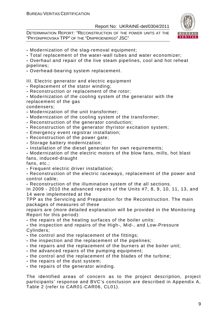DETERMINATION REPORT: "RECONSTRUCTION OF THE POWER UNITS AT THE "PRYDNIPROVSKA TPP" OF THE "DNIPROENERGO" JSC"



**-** Modernization of the slag-removal equipment;

**-** Total replacement of the water-wall tubes and water economizer;

**-** Overhaul and repair of the live steam pipelines, cool and hot reheat pipelines;

**-** Overhead-bearing system replacement.

III. Electric generator and electric equipment

**-** Replacement of the stator winding;

**-** Reconstruction or replacement of the rotor;

**-** Modernization of the cooling system of the generator with the replacement of the gas

condensers;

- Modernization of the unit transformer;
- Modernization of the cooling system of the transformer;
- Reconstruction of the generator conduction;
- Reconstruction of the generator thyristor excitation system;
- Emergency event registrar installation;
- Reconstruction of the power gate;
- Storage battery modernization;

**-** Installation of the diesel generator for own requirements;

**-** Modernization of the electric motors of the blow fans, mills, hot blast fans, induced-draught

fans, etc.;

**-** Frequent electric driver installation;

**-** Reconstruction of the electric raceways, replacement of the power and control cable;

**-** Reconstruction of the illumination system of the all sections.

In 2009 - 2010 the advanced repairs of the Units #7, 8, 9, 10, 11, 13, and 14 were implemented at the

TPP as the Servicing and Preparation for the Reconstruction. The main packages of measures of these

repairs are (more detailed explanation will be provided in the Monitoring Report for this period):

**-** the repairs of the heating surfaces of the boiler units:

**-** the inspection and repairs of the High-, Mid-, and Low-Pressure Cylinders;

- the control and the replacement of the fittings;
- the inspection and the replacement of the pipelines;
- the repairs and the replacement of the burners at the boiler unit;
- the advanced repairs of the pumping equipment;
- the control and the replacement of the blades of the turbine;
- the repairs of the dust system;
- the repairs of the generator winding.

The identified areas of concern as to the project description, project participants' response and BVC's conclusion are described in Appendix A, Table 2 (refer to CAR01-CAR06, CL01).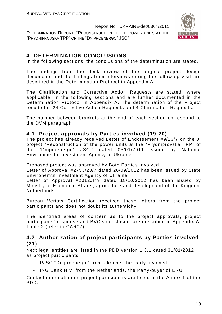DETERMINATION REPORT: "RECONSTRUCTION OF THE POWER UNITS AT THE "PRYDNIPROVSKA TPP" OF THE "DNIPROENERGO" JSC"



# **4 DETERMINATION CONCLUSIONS**

In the following sections, the conclusions of the determination are stated.

The findings from the desk review of the original project design documents and the findings from interviews during the follow up visit are described in the Determination Protocol in Appendix A.

The Clarification and Corrective Action Requests are stated, where applicable, in the following sections and are further documented in the Determination Protocol in Appendix A. The determination of the Project resulted in 24 Corrective Action Requests and 4 Clarification Requests.

The number between brackets at the end of each section correspond to the DVM paragraph

#### **4.1 Project approvals by Parties involved (19-20)**

The project has already received Letter of Endorsement #9/23/7 on the JI project "Reconstruction of the power units at the "Prydniprovska TPP" of the "Dniproenergo" JSC." dated 05/01/2011 issued by National Environmental Investment Agency of Ukraine.

Proposed project was approved by Both Parties Involved

Letter of Approval #2753/23/7 dated 26/09/2012 has been issued by State Environemtn Investment Agency of Ukraine.

Letter of Approval #2012JI49 dated 18/10/2012 has been issued by Ministry of Economic Affairs, agriculture and development oft he Kingdom Netherlands.

Bureau Veritas Certification received these letters from the project participants and does not doubt its authenticity.

The identified areas of concern as to the project approvals, project participants' response and BVC's conclusion are described in Appendix A, Table 2 (refer to CAR07).

# **4.2 Authorization of project participants by Parties involved (21)**

Next legal entities are listed in the PDD version 1.3.1 dated 31/01/2012 as project participants:

- PJSC "Dniproenergo" from Ukraine, the Party Involved;
- ING Bank N.V. from the Netherlands, the Party-buyer of ERU.

Contact information on project participants are listed in the Annex 1 of the PDD.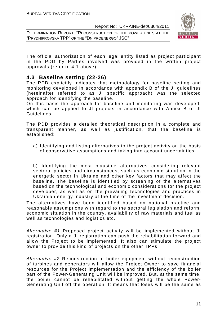DETERMINATION REPORT: "RECONSTRUCTION OF THE POWER UNITS AT THE "PRYDNIPROVSKA TPP" OF THE "DNIPROENERGO" JSC"



The official authorization of each legal entity listed as project participant in the PDD by Parties involved was provided in the written project approvals (refer to 4.1 above).

### **4.3 Baseline setting (22-26)**

The PDD explicitly indicates that methodology for baseline setting and monitoring developed in accordance with appendix B of the JI guidelines (hereinafter referred to as JI specific approach) was the selected approach for identifying the baseline.

On this basis the approach for baseline and monitoring was developed, which can be applied to JI projects in accordance with Annex B of JI Guidelines.

The PDD provides a detailed theoretical description in a complete and transparent manner, as well as justification, that the baseline is established:

a) Identifying and listing alternatives to the project activity on the basis of conservative assumptions and taking into account uncertainties.

b) Identifying the most plausible alternatives considering relevant sectoral policies and circumstances, such as economic situation in the energetic sector in Ukraine and other key factors that may affect the baseline. The baseline is identified by screening of the alternatives based on the technological and economic considerations for the project developer, as well as on the prevailing technologies and practices in Ukrainian energy industry at the time of the investment decision.

The alternatives have been identified based on national practice and reasonable assumptions with regard to the sectoral legislation and reform, economic situation in the country, availability of raw materials and fuel as well as technologies and logistics etc.

Alternative #1 Proposed project activity will be implemented without JI registration. Only a JI registration can push the rehabilitation forward and allow the Project to be implemented. It also can stimulate the project owner to provide this kind of projects on the other TPPs

Alternative #2 Reconstruction of boiler equipment without reconstruction of turbines and generators will allow the Project Owner to save financial resources for the Project implementation and the efficiency of the boiler part of the Power-Generating Unit will be improved. But, at the same time, the boiler cannot be rehabilitated without getting the whole Power-Generating Unit off the operation. It means that loses will be the same as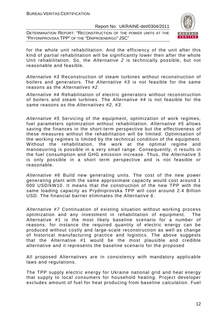DETERMINATION REPORT: "RECONSTRUCTION OF THE POWER UNITS AT THE "PRYDNIPROVSKA TPP" OF THE "DNIPROENERGO" JSC"



for the whole unit rehabilitation. And the efficiency of the unit after this kind of partial rehabilitation will be significantly lower then after the whole Unit rehabilitation. So, the Alternative 2 is technically possible, but not reasonable and feasible.

Alternative #3 Reconstruction of steam turbines without reconstruction of boilers and generators. The Alternative #3 is not feasible for the same reasons as the Alternatives #2.

Alternative #4 Rehabilitation of electric generators without reconstruction of boilers and steam turbines. The Alternative #4 is not feasible for the same reasons as the Alternatives #2, #3.

Alternative #5 Servicing of the equipment, optimization of work regimes, fuel parameters optimization without rehabilitation. Alternative #5 allows saving the finances in the short-term perspective but the effectiveness of these measures without the rehabilitation will be limited. Optimisation of the working regimes is limited by the technical condition of the equipment. Without the rehabilitation, the work at the optimal regime and manoeuvring is possible in a very small range. Consequently, it results in the fuel consumption and GHG emission increase. Thus, the Alternative 5 is only possible in a short term perspective and is not feasible or reasonable.

Alternative #6 Build new generating units. The cost of the new power generating plant with the same approximate capacity would cost around 1 000 USD/kW10. It means that the construction of the new TPP with the same loading capacity as Prydniprovska TPP will cost around 2.4 Billion USD. The financial barrier eliminates the Alternative 6.

Alternative #7 Continuation of existing situation without working process optimization and any investment in rehabilitation of equipment. The Alternative #1 is the most likely baseline scenario for a number of reasons, for instance the required quantity of electric energy can be produced without costly and large-scale reconstruction as well as change of historical manufacturing practice and logistics. The above suggests that the Alternative #1 would be the most plausible and credible alternative and it represents the baseline scenario for the proposed

All proposed Alternatives are in consistency with mandatory applicable laws and regulations.

The TPP supply electric energy for Ukraine national grid and heat energy that supply to local consumers for household heating. Project developer excludes amount of fuel for heat producing from baseline calculation. Fuel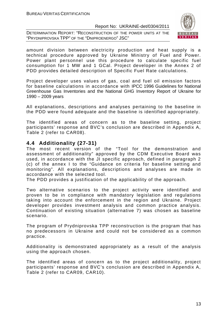DETERMINATION REPORT: "RECONSTRUCTION OF THE POWER UNITS AT THE "PRYDNIPROVSKA TPP" OF THE "DNIPROENERGO" JSC"



amount division between electricity production and heat supply is a technical procedure approved by Ukraine Ministry of Fuel and Power. Power plant personnel use this procedure to calculate specific fuel consumption for 1 MW and 1 GCal. Project developer in the Annex 2 of PDD provides detailed description of Specific Fuel Rate calculations.

Project developer uses values of gas, coal and fuel oil emission factors for baseline calculations in accordance with IPCC 1996 Guidelines for National Greenhouse Gas Inventories and the National GHG Inventory Report of Ukraine for 1990 – 2009 years

All explanations, descriptions and analyses pertaining to the baseline in the PDD were found adequate and the baseline is identified appropriately.

The identified areas of concern as to the baseline setting, project participants' response and BVC's conclusion are described in Appendix A, Table 2 (refer to CAR08).

### **4.4 Additionality (27-31)**

The most recent version of the "Tool for the demonstration and assessment of additionality" approved by the CDM Executive Board was used, in accordance with the JI specific approach, defined in paragraph 2 (c) of the annex I to the "Guidance on criteria for baseline setting and monitoring". All explanations, descriptions and analyses are made in accordance with the selected tool.

The PDD provides a justification of the applicability of the approach.

Two alternative scenarios to the project activity were identified and proven to be in compliance with mandatory legislation and regulations taking into account the enforcement in the region and Ukraine. Project developer provides investment analysis and common practice analysis. Continuation of existing situation (alternative 7) was chosen as baseline scenario.

The program of Prydniprovska TPP reconstruction is the program that has no predecessors in Ukraine and could not be considered as a common practice.

Additionality is demonstrated appropriately as a result of the analysis using the approach chosen.

The identified areas of concern as to the project additionality, project participants' response and BVC's conclusion are described in Appendix A, Table 2 (refer to CAR09, CAR10).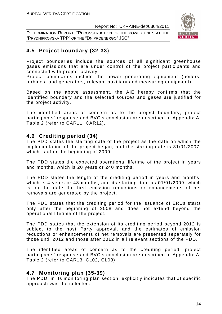DETERMINATION REPORT: "RECONSTRUCTION OF THE POWER UNITS AT THE "PRYDNIPROVSKA TPP" OF THE "DNIPROENERGO" JSC"



# **4.5 Project boundary (32-33)**

Project boundaries include the sources of all significant greenhouse gases emissions that are under control of the project participants and connected with project activity.

Project boundaries include the power generating equipment (boilers, turbines, and generators, relevant auxiliary and measuring equipment).

Based on the above assessment, the AIE hereby confirms that the identified boundary and the selected sources and gases are justified for the project activity.

The identified areas of concern as to the project boundary, project participants' response and BVC's conclusion are described in Appendix A, Table 2 (refer to CAR11, CAR12).

### **4.6 Crediting period (34)**

The PDD states the starting date of the project as the date on which the implementation of the project began, and the starting date is 31/01/2007, which is after the beginning of 2000.

The PDD states the expected operational lifetime of the project in years and months, which is 20 years or 240 months.

The PDD states the length of the crediting period in years and months, which is 4 years or 48 months, and its starting date as 01/01/2009, which is on the date the first emission reductions or enhancements of net removals are generated by the project.

The PDD states that the crediting period for the issuance of ERUs starts only after the beginning of 2008 and does not extend beyond the operational lifetime of the project.

The PDD states that the extension of its crediting period beyond 2012 is subject to the host Party approval, and the estimates of emission reductions or enhancements of net removals are presented separately for those until 2012 and those after 2012 in all relevant sections of the PDD.

The identified areas of concern as to the crediting period, project participants' response and BVC's conclusion are described in Appendix A, Table 2 (refer to CAR13, CL02, CL03).

# **4.7 Monitoring plan (35-39)**

The PDD, in its monitoring plan section, explicitly indicates that JI specific approach was the selected.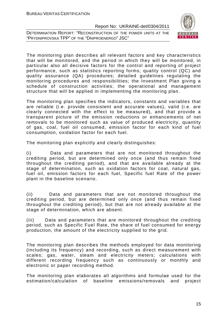DETERMINATION REPORT: "RECONSTRUCTION OF THE POWER UNITS AT THE "PRYDNIPROVSKA TPP" OF THE "DNIPROENERGO" JSC"



The monitoring plan describes all relevant factors and key characteristics that will be monitored, and the period in which they will be monitored, in particular also all decisive factors for the control and reporting of project performance, such as statistics reporting forms; quality control (QC) and quality assurance (QA) procedures; detailed guidelines regulating the monitoring procedures and responsibilities; the Investment Plan giving a schedule of construction activities; the operational and management structure that will be applied in implementing the monitoring plan.

The monitoring plan specifies the indicators, constants and variables that are reliable (i.e. provide consistent and accurate values), valid (i.e. are clearly connected with the effect to be measured), and that provide a transparent picture of the emission reductions or enhancements of net removals to be monitored such as value of produced electricity, quantity of gas, coal, fuel oil consumed, emission factor for each kind of fuel consumption, oxidation factor for each fuel.

The monitoring plan explicitly and clearly distinguishes:

(i) Data and parameters that are not monitored throughout the crediting period, but are determined only once (and thus remain fixed throughout the crediting period), and that are available already at the stage of determination, such as oxidation factors for coal, natural gas, fuel oil, emission factors for each fuel, Specific fuel Rate of the power plant in the baseline scenario.

(ii) Data and parameters that are not monitored throughout the crediting period, but are determined only once (and thus remain fixed throughout the crediting period), but that are not already available at the stage of determination, which are absent.

(iii) Data and parameters that are monitored throughout the crediting period, such as Specific Fuel Rate, the share of fuel consumed for energy production, the amount of the electricity supplied to the grid.

The monitoring plan describes the methods employed for data monitoring (including its frequency) and recording, such as direct measurement with scales; gas, water, steam and electricity meters; calculations with different recording frequency such as continuously or monthly and electronic or paper recording method.

The monitoring plan elaborates all algorithms and formulae used for the estimation/calculation of baseline emissions/removals and project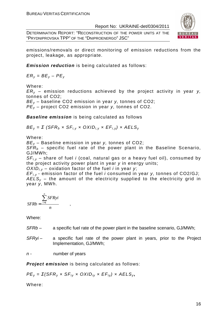DETERMINATION REPORT: "RECONSTRUCTION OF THE POWER UNITS AT THE "PRYDNIPROVSKA TPP" OF THE "DNIPROENERGO" JSC"



emissions/removals or direct monitoring of emission reductions from the project, leakage, as appropriate.

**Emission reduction** is being calculated as follows:

 $ER_v = BE_v - PE_v$ 

Where:

 $ER<sub>v</sub>$  – emission reductions achieved by the project activity in year y, tonnes of CO2;

 $BE_v$  – baseline CO2 emission in year y, tonnes of CO2;

 $PE_v$  – project CO2 emission in year y, tonnes of CO2.

**Baseline emission** is being calculated as follows

 $BE_v = \Sigma$  (SFR<sub>b</sub> x SF<sub>i, v</sub> x OXID<sub>i, v</sub> x EF<sub>i, y</sub>) x AELS<sub>y</sub>

Where:

 $BE_v$  – Baseline emission in year y, tonnes of CO2;

 $SFR<sub>b</sub>$  – specific fuel rate of the power plant in the Baseline Scenario, GJ/MWh;

 $SF_{i,v}$  – share of fuel i (coal, natural gas or a heavy fuel oil), consumed by the project activity power plant in year y in energy units;

 $OX/D_{i,v}$  – oxidation factor of the fuel *i* in year y;

 $EF_{i,v}$  - emission factor of the fuel *i* consumed in year *v*, tonnes of CO2/GJ;  $AELS<sub>y</sub>$  – the amount of the electricity supplied to the electricity grid in year y, MWh.

$$
SFRb = \frac{\sum_{i=1}^{n} SFRyi}{n},
$$

Where:

SFRb – a specific fuel rate of the power plant in the baseline scenario, GJ/MWh;

SFRyi- a specific fuel rate of the power plant in years, prior to the Project Implementation, GJ/MWh;

n - mumber of years

**Project emission** is being calculated as follows:

 $PE_y = \Sigma(SFR_y \times SF_{iy} \times OXID_{iy} \times EF_{iy}) \times AELS_y$ 

Where: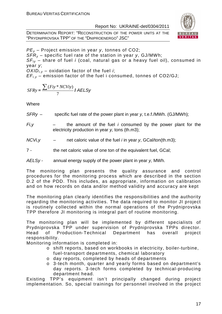DETERMINATION REPORT: "RECONSTRUCTION OF THE POWER UNITS AT THE "PRYDNIPROVSKA TPP" OF THE "DNIPROENERGO" JSC"



 $PE<sub>v</sub>$  – Project emission in year y, tonnes of CO2;  $SFR_v$  – specific fuel rate of the station in year y, GJ/MWh;  $SF_{ir}$  – share of fuel *i* (coal, natural gas or a heavy fuel oil), consumed in year y;  $OXID_{i,v}$  – oxidation factor of the fuel *i*;  $EF_{i,v}$  – emission factor of the fuel i consumed, tonnes of CO2/GJ;

$$
SFRy = \frac{\sum (Fiy * NCViy)}{7} I AELSy
$$

**Where** 

 $SFRy -$  specific fuel rate of the power plant in year y, t.e.f./MWh. (GJ/MWh);

 $Fi, y$  – the amount of the fuel i consumed by the power plant for the electricity production in year y, tons (th.m3);

 $NCV_i$ ,  $v =$  net caloric value of the fuel *i* in year v, GCal/ton(th.m3);

7 - the net caloric value of one ton of the equivalent fuel, GCal;

 $AELSy -$  annual energy supply of the power plant in year y, MWh.

The monitoring plan presents the quality assurance and control procedures for the monitoring process which are described in the section D.2 of the PDD. This includes, as appropriate, information on calibration and on how records on data and/or method validity and accuracy are kept

The monitoring plan clearly identifies the responsibilities and the authority regarding the monitoring activities. The data required to monitor JI project is routinely collected within the normal operations of the Prydniprovska TPP therefore JI monitoring is integral part of routine monitoring.

The monitoring plan will be implemented by different specialists of Prydniprovska TPP under supervision of Prydniprovska TPPs director. Head of Production-Technical Department has overall project responsibility.

Monitoring information is completed in:

- o shift reports, based on workbooks in electricity, boiler-turbine, fuel-transport departments, chemical laboratory
- o day reports, completed by heads of departments
- o 3-tech month, quarter and yearly forms based on department's day reports. 3-tech forms completed by technical-producing department head.

Existing TPP's equipment isn't principally changed during project implementation. So, special trainings for personnel involved in the project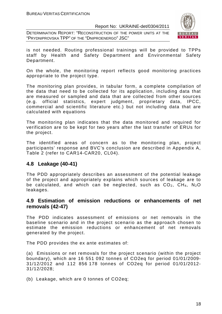DETERMINATION REPORT: "RECONSTRUCTION OF THE POWER UNITS AT THE "PRYDNIPROVSKA TPP" OF THE "DNIPROENERGO" JSC"



is not needed. Routing professional trainings will be provided to TPPs staff by Health and Safety Department and Environmental Safety Department.

On the whole, the monitoring report reflects good monitoring practices appropriate to the project type.

The monitoring plan provides, in tabular form, a complete compilation of the data that need to be collected for its application, including data that are measured or sampled and data that are collected from other sources (e.g. official statistics, expert judgment, proprietary data, IPCC, commercial and scientific literature etc.) but not including data that are calculated with equations

The monitoring plan indicates that the data monitored and required for verification are to be kept for two years after the last transfer of ERUs for the project.

The identified areas of concern as to the monitoring plan, project participants' response and BVC's conclusion are described in Appendix A, Table 2 (refer to CAR14-CAR20, CL04).

#### **4.8 Leakage (40-41)**

The PDD appropriately describes an assessment of the potential leakage of the project and appropriately explains which sources of leakage are to be calculated, and which can be neglected, such as  $CO<sub>2</sub>$ ,  $CH<sub>4</sub>$ , N<sub>2</sub>O leakages.

#### **4.9 Estimation of emission reductions or enhancements of net removals (42-47)**

The PDD indicates assessment of emissions or net removals in the baseline scenario and in the project scenario as the approach chosen to estimate the emission reductions or enhancement of net removals generated by the project.

The PDD provides the ex ante estimates of:

(a) Emissions or net removals for the project scenario (within the project boundary), which are 16 551 092 tonnes of CO2eq for period 01/01/2009- 31/12/2012 and 112 856 178 tonnes of CO2eq for period 01/01/2012- 31/12/2028;

(b) Leakage, which are 0 tonnes of CO2eq;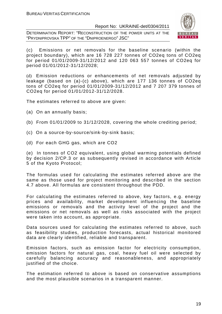DETERMINATION REPORT: "RECONSTRUCTION OF THE POWER UNITS AT THE "PRYDNIPROVSKA TPP" OF THE "DNIPROENERGO" JSC"



(c) Emissions or net removals for the baseline scenario (within the project boundary), which are 16 728 227 tonnes of CO2eq tons of CO2eq for period 01/01/2009-31/12/2012 and 120 063 557 tonnes of CO2eq for period 01/01/2012-31/12/2028;

(d) Emission reductions or enhancements of net removals adjusted by leakage (based on (a)-(c) above), which are 177 136 tonnes of CO2eq tons of CO2eq for period 01/01/2009-31/12/2012 and 7 207 379 tonnes of CO2eq for period 01/01/2012-31/12/2028.

The estimates referred to above are given:

- (a) On an annually basis;
- (b) From 01/01/2009 to 31/12/2028, covering the whole crediting period;
- (c) On a source-by-source/sink-by-sink basis;
- (d) For each GHG gas, which are CO2

(e) In tonnes of CO2 equivalent, using global warming potentials defined by decision 2/CP.3 or as subsequently revised in accordance with Article 5 of the Kyoto Protocol;

The formulas used for calculating the estimates referred above are the same as those used for project monitoring and described in the section 4.7 above. All formulas are consistent throughout the PDD.

For calculating the estimates referred to above, key factors, e.g. energy prices and availability, market development influencing the baseline emissions or removals and the activity level of the project and the emissions or net removals as well as risks associated with the project were taken into account, as appropriate.

Data sources used for calculating the estimates referred to above, such as feasibility studies, production forecasts, actual historical monitored data are clearly identified, reliable and transparent.

Emission factors, such as emission factor for electricity consumption, emission factors for natural gas, coal, heavy fuel oil were selected by carefully balancing accuracy and reasonableness, and appropriately justified of the choice.

The estimation referred to above is based on conservative assumptions and the most plausible scenarios in a transparent manner.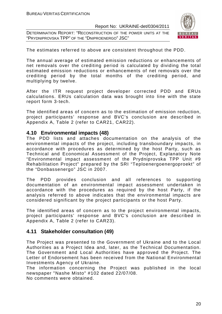DETERMINATION REPORT: "RECONSTRUCTION OF THE POWER UNITS AT THE "PRYDNIPROVSKA TPP" OF THE "DNIPROENERGO" JSC"



The estimates referred to above are consistent throughout the PDD.

The annual average of estimated emission reductions or enhancements of net removals over the crediting period is calculated by dividing the total estimated emission reductions or enhancements of net removals over the crediting period by the total months of the crediting period, and multiplying by twelve.

After the ITR request project developer corrected PDD and ERUs calculations. ERUs calculation data was brought into line with the state report form 3-tech.

The identified areas of concern as to the estimation of emission reduction, project participants' response and BVC's conclusion are described in Appendix A, Table 2 (refer to CAR21, CAR22).

#### **4.10 Environmental impacts (48)**

The PDD lists and attaches documentation on the analysis of the environmental impacts of the project, including transboundary impacts, in accordance with procedures as determined by the host Party, such as Technical and Economical Assessment of the Project, Explanatory Note "Environmental impact assessment of the Prydniprovska TPP Unit #9 Rehabilitation Project" prepared by the SRI "Teploenergoenergoproekt" of the "Donbassenergo" JSC in 2007.

The PDD provides conclusion and all references to supporting documentation of an environmental impact assessment undertaken in accordance with the procedures as required by the host Party, if the analysis referred to above indicates that the environmental impacts are considered significant by the project participants or the host Party.

The identified areas of concern as to the project environmental impacts, project participants' response and BVC's conclusion are described in Appendix A, Table 2 (refer to CAR23).

#### **4.11 Stakeholder consultation (49)**

The Project was presented to the Government of Ukraine and to the Local Authorities as a Project Idea and, later, as the Technical Documentation. The Government and Local Authorities have approved the Project. The Letter of Endorsement has been received from the National Environmental Investments Agency of Ukraine.

The information concerning the Project was published in the local newspaper "Nashe Misto" #102 dated 22/07/08. No comments were obtained.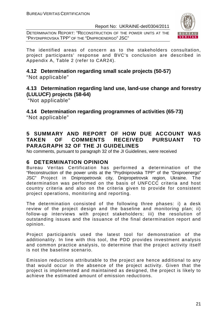DETERMINATION REPORT: "RECONSTRUCTION OF THE POWER UNITS AT THE "PRYDNIPROVSKA TPP" OF THE "DNIPROENERGO" JSC"



The identified areas of concern as to the stakeholders consultation, project participants' response and BVC's conclusion are described in Appendix A, Table 2 (refer to CAR24).

### **4.12 Determination regarding small scale projects (50-57)**  "Not applicable"

# **4.13 Determination regarding land use, land-use change and forestry (LULUCF) projects (58-64)**

"Not applicable"

**4.14 Determination regarding programmes of activities (65-73)** 

"Not applicable"

# **5 SUMMARY AND REPORT OF HOW DUE ACCOUNT WAS TAKEN OF COMMENTS RECEIVED PURSUANT TO PARAGRAPH 32 OF THE JI GUIDELINES**

No comments, pursuant to paragraph 32 of the JI Guidelines, were received

# **6 DETERMINATION OPINION**

Bureau Veritas Certification has performed a determination of the "Reconstruction of the power units at the "Prydniprovska TPP" of the "Dniproenergo" JSC" Project in Dnipropetrovsk city, Dnipropetrovsk region, Ukraine. The determination was performed on the basis of UNFCCC criteria and host country criteria and also on the criteria given to provide for consistent project operations, monitoring and reporting.

The determination consisted of the following three phases: i) a desk review of the project design and the baseline and monitoring plan; ii) follow-up interviews with project stakeholders; iii) the resolution of outstanding issues and the issuance of the final determination report and opinion.

Project participant/s used the latest tool for demonstration of the additionality. In line with this tool, the PDD provides investment analysis and common practice analysis, to determine that the project activity itself is not the baseline scenario.

Emission reductions attributable to the project are hence additional to any that would occur in the absence of the project activity. Given that the project is implemented and maintained as designed, the project is likely to achieve the estimated amount of emission reductions.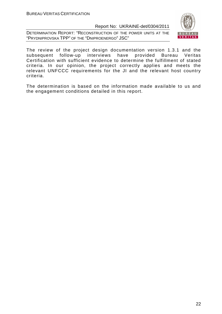DETERMINATION REPORT: "RECONSTRUCTION OF THE POWER UNITS AT THE "PRYDNIPROVSKA TPP" OF THE "DNIPROENERGO" JSC"



The review of the project design documentation version 1.3.1 and the subsequent follow-up interviews have provided Bureau Veritas Certification with sufficient evidence to determine the fulfillment of stated criteria. In our opinion, the project correctly applies and meets the relevant UNFCCC requirements for the JI and the relevant host country criteria.

The determination is based on the information made available to us and the engagement conditions detailed in this report.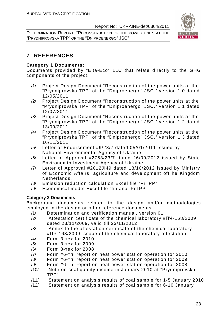DETERMINATION REPORT: "RECONSTRUCTION OF THE POWER UNITS AT THE "PRYDNIPROVSKA TPP" OF THE "DNIPROENERGO" JSC"



# **7 REFERENCES**

#### **Category 1 Documents:**

Documents provided by "Elta-Eco" LLC that relate directly to the GHG components of the project.

- /1/ Project Design Document "Reconstruction of the power units at the "Prydniprovska TPP" of the "Dniproenergo" JSC." version 1.0 dated 12/05/2011
- /2/ Project Design Document "Reconstruction of the power units at the "Prydniprovska TPP" of the "Dniproenergo" JSC." version 1.1 dated 12/07/2011
- /3/ Project Design Document "Reconstruction of the power units at the "Prydniprovska TPP" of the "Dniproenergo" JSC." version 1.2 dated 13/09/2011
- /4/ Project Design Document "Reconstruction of the power units at the "Prydniprovska TPP" of the "Dniproenergo" JSC." version 1.3 dated 16/11/2011
- /5/ Letter of Endorsement #9/23/7 dated 05/01/2011 issued by National Environmental Agency of Ukraine
- /6/ Letter of Approval #2753/23/7 dated 26/09/2012 issued by State Environemtn Investment Agency of Ukraine.
- /7/ Letter of Approval #2012JI49 dated 18/10/2012 issued by Ministry of Economic Affairs, agriculture and development oft he Kingdom Netherlands.
- /8/ Emission reduction calculation Excel file "PrTPP"
- /9/ Economical model Excel file "fin anal PrTPP"

#### **Category 2 Documents:**

Background documents related to the design and/or methodologies employed in the design or other reference documents.

- /1/ Determination and verification manual, version 01
- /2/ Attestation certificate of the chemical laboratory #ПЧ-168/2009 dated 23/11/2009, valid till 23/11/2012
- /3/ Annex to the attestation certificate of the chemical laboratory #ПЧ-168/2009, scope of the chemical laboratory attestation
- /4/ Form 3-тех for 2010
- /5/ Form 3-тех for 2009
- /6/ Form 3-тех for 2008
- /7/ Form #6-тп, report on heat power station operation for 2010
- /8/ Form #6-тп, report on heat power station operation for 2009
- /9/ Form #6-тп, report on heat power station operation for 2008
- /10/ Note on coal quality income in January 2010 at "Prydniprovska TPP"
- /11/ Statement on analysis results of coal sample for 1-5 January 2010
- /12/ Statement on analysis results of coal sample for 6-10 January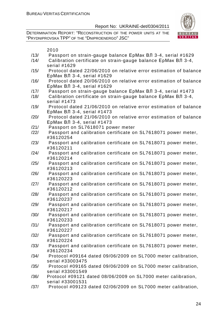

- /13/ Passport on strain-gauge balance ЕрМак ВЛ 3-4, serial #1629
- /14/ Calibration certificate on strain-gauge balance ЕрМак ВЛ 3-4, serial #1629
- /15/ Protocol dated 22/06/2010 on relative error estimation of balance ЕрМак ВЛ 3-4, serial #1629
- /16/ Protocol dated 20/06/2010 on relative error estimation of balance ЕрМак ВЛ 3-4, serial #1629
- /17/ Passport on strain-gauge balance ЕрМак ВЛ 3-4, serial #1473
- /18/ Calibration certificate on strain-gauge balance ЕрМак ВЛ 3-4, serial #1473
- /19/ Protocol dated 21/06/2010 on relative error estimation of balance ЕрМак ВЛ 3-4, serial #1473
- /20/ Protocol dated 21/06/2010 on relative error estimation of balance ЕрМак ВЛ 3-4, serial #1473
- /21/ Passport on SL7618071 power meter
- /22/ Passport and calibration certificate on SL7618071 power meter, #36120254
- /23/ Passport and calibration certificate on SL7618071 power meter, #36120211
- /24/ Passport and calibration certificate on SL7618071 power meter, #36120214
- /25/ Passport and calibration certificate on SL7618071 power meter, #36120213
- /26/ Passport and calibration certificate on SL7618071 power meter, #36120223
- /27/ Passport and calibration certificate on SL7618071 power meter, #36120212
- /28/ Passport and calibration certificate on SL7618071 power meter, #36120237
- /29/ Passport and calibration certificate on SL7618071 power meter, #36120217
- /30/ Passport and calibration certificate on SL7618071 power meter, #36120233
- /31/ Passport and calibration certificate on SL7618071 power meter, #36120227
- /32/ Passport and calibration certificate on SL7618071 power meter, #36120224
- /33/ Passport and calibration certificate on SL7618071 power meter, #36120234
- /34/ Protocol #09164 dated 09/06/2009 on SL7000 meter calibration, serial #33003475
- /35/ Protocol #09165 dated 09/06/2009 on SL7000 meter calibration, serial #33001549
- /36/ Protocol #09121 dated 08/06/2009 on SL7000 meter calibration, serial #33001531
- /37/ Protocol #09123 dated 02/06/2009 on SL7000 meter calibration,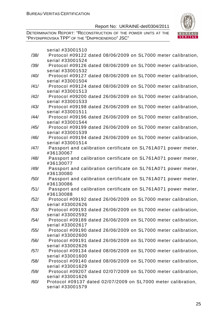

| serial #33001510                                                                  |
|-----------------------------------------------------------------------------------|
| Protocol #09122 dated 08/06/2009 on SL7000 meter calibration,                     |
| serial #33001524                                                                  |
| Protocol #09126 dated 08/06/2009 on SL7000 meter calibration,                     |
| serial #33001532                                                                  |
| Protocol #09127 dated 08/06/2009 on SL7000 meter calibration,                     |
| serial #33001504                                                                  |
| Protocol #09124 dated 08/06/2009 on SL7000 meter calibration,                     |
| serial #33001513                                                                  |
| Protocol #09200 dated 26/06/2009 on SL7000 meter calibration,                     |
| serial #33001533                                                                  |
| Protocol #09198 dated 26/06/2009 on SL7000 meter calibration,                     |
| serial #33001511                                                                  |
| Protocol #09196 dated 26/06/2009 on SL7000 meter calibration,                     |
| serial #33001544                                                                  |
| Protocol #09199 dated 26/06/2009 on SL7000 meter calibration,<br>serial #33001539 |
| Protocol #09194 dated 26/06/2009 on SL7000 meter calibration,                     |
| serial #33001514                                                                  |
| Passport and calibration certificate on SL761A071 power meter,                    |
| #36130067                                                                         |
| Passport and calibration certificate on SL761A071 power meter,                    |
| #36130077                                                                         |
| Passport and calibration certificate on SL761A071 power meter,                    |
| #36130080                                                                         |
| Passport and calibration certificate on SL761A071 power meter,                    |
| #36130086                                                                         |
| Passport and calibration certificate on SL761A071 power meter,                    |
| #36130088                                                                         |
| Protocol #09192 dated 26/06/2009 on SL7000 meter calibration,                     |
| serial #33002626                                                                  |
| Protocol #09193 dated 26/06/2009 on SL7000 meter calibration,                     |
| serial #33002592                                                                  |
| Protocol #09189 dated 26/06/2009 on SL7000 meter calibration,                     |
| serial #33002617                                                                  |
| Protocol #09190 dated 26/06/2009 on SL7000 meter calibration,                     |
| serial #33002600                                                                  |
| Protocol #09191 dated 26/06/2009 on SL7000 meter calibration,<br>serial #33002626 |
| Protocol #09134 dated 08/06/2009 on SL7000 meter calibration,                     |
| serial #33001600                                                                  |
| Protocol #09140 dated 08/06/2009 on SL7000 meter calibration,                     |
| serial #33001629                                                                  |
| Protocol #09207 dated 02/07/2009 on SL7000 meter calibration,                     |
|                                                                                   |
|                                                                                   |
| serial #33001626<br>Protocol #09137 dated 02/07/2009 on SL7000 meter calibration, |
|                                                                                   |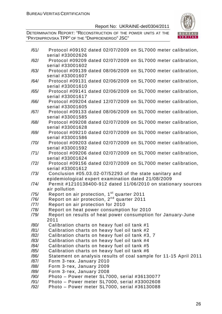

| /61/ | Protocol #09192 dated 02/07/2009 on SL7000 meter calibration,     |
|------|-------------------------------------------------------------------|
|      | serial #33002626                                                  |
| /62/ | Protocol #09209 dated 02/07/2009 on SL7000 meter calibration,     |
|      | serial #33001602                                                  |
| /63/ | Protocol #09139 dated 08/06/2009 on SL7000 meter calibration,     |
|      | serial #33001607                                                  |
| /64/ | Protocol #09131 dated 02/06/2009 on SL7000 meter calibration,     |
|      | serial #33001610                                                  |
| /65/ | Protocol #09141 dated 02/06/2009 on SL7000 meter calibration,     |
|      | serial #33001617                                                  |
| /66/ | Protocol #09204 dated 12/07/2009 on SL7000 meter calibration,     |
|      | serial #33001605                                                  |
| /67/ | Protocol #09133 dated 08/06/2009 on SL7000 meter calibration,     |
|      | serial #33001585                                                  |
| /68/ | Protocol #09208 dated 02/07/2009 on SL7000 meter calibration,     |
|      | serial #33001628                                                  |
| /69/ | Protocol #09210 dated 02/07/2009 on SL7000 meter calibration,     |
|      | serial #33001586                                                  |
| /70/ | Protocol #09203 dated 02/07/2009 on SL7000 meter calibration,     |
|      | serial #33001592                                                  |
| /71/ | Protocol #09206 dated 02/07/2009 on SL7000 meter calibration,     |
|      | serial #33001624                                                  |
| /72/ | Protocol #09156 dated 02/07/2009 on SL7000 meter calibration,     |
|      | serial #33001612                                                  |
| /73/ | Conclusion #05.03.02-07/52293 of the state sanitary and           |
|      | epidemiological expert examination dated 21/08/2009               |
| /74/ | Permit #1210138400-912 dated 11/06/2010 on stationary sources     |
|      | air pollution                                                     |
| /75/ | Report on air protection, 1 <sup>st</sup> quarter 2011            |
| /76/ | Report on air protection, 2 <sup>nd</sup> quarter 2011            |
| /77/ | Report on air protection for 2010                                 |
| /78/ | Report on heat power consumption for 2010                         |
| /79/ | Report on results of heat power consumption for January-June      |
|      | 2011                                                              |
| /80/ | Calibration charts on heavy fuel oil tank #1                      |
| /81/ | Calibration charts on heavy fuel oil tank #2                      |
| /82/ | Calibration charts on heavy fuel oil tank #3, 7                   |
| /83/ | Calibration charts on heavy fuel oil tank #4                      |
| /84/ | Calibration charts on heavy fuel oil tank #5                      |
| /85/ | Calibration charts on heavy fuel oil tank #6                      |
| /86/ | Statement on analysis results of coal sample for 11-15 April 2011 |
| /87/ | Form 3-Tex. January 2010                                          |
| /88/ | Form 3-Tex, January 2009                                          |
| /89/ | Form 3-Tex, January 2008                                          |
| /90/ | Photo - Power meter SL7000, serial #36130077                      |
| /91/ | Photo - Power meter SL7000, serial #33002608                      |
| /92/ | Photo - Power meter SL7000, serial #36130088                      |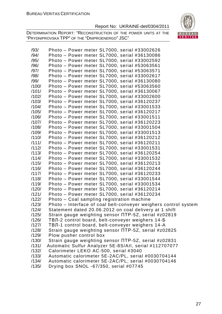

| /93/<br>/94/ | Photo - Power meter SL7000, serial #33002626<br>Photo - Power meter SL7000, serial #36130086 |
|--------------|----------------------------------------------------------------------------------------------|
| /95/         | Photo - Power meter SL7000, serial #33002592                                                 |
| /96/         | Photo – Power meter SL7000, serial #53063561                                                 |
| /97/         | Photo - Power meter SL7000, serial #53063571                                                 |
| /98/         | Photo - Power meter SL7000, serial #33002617                                                 |
| /99/         | Photo - Power meter SL7000, serial #36130080                                                 |
| /100/        | Photo - Power meter SL7000, serial #53063560                                                 |
| /101/        | Photo - Power meter SL7000, serial #36130067                                                 |
| /102/        | Photo - Power meter SL7000, serial #33002600                                                 |
| /103/        | Photo - Power meter SL7000, serial #36120237                                                 |
| /104/        | Photo - Power meter SL7000, serial #33001533                                                 |
| /105/        | Photo - Power meter SL7000, serial #36120217                                                 |
| /106/        | Photo - Power meter SL7000, serial #33001511                                                 |
| /107/        | Photo - Power meter SL7000, serial #36120223                                                 |
| /108/        | Photo - Power meter SL7000, serial #33001504                                                 |
| /109/        | Photo - Power meter SL7000, serial #33001513                                                 |
| /110/        | Photo - Power meter SL7000, serial #36120212                                                 |
| /111/        | Photo - Power meter SL7000, serial #36120211                                                 |
| /112/        | Photo - Power meter SL7000, serial #33001531                                                 |
| /113/        | Photo - Power meter SL7000, serial #36120254                                                 |
| /114/        | Photo - Power meter SL7000, serial #33001532                                                 |
| /115/        | Photo - Power meter SL7000, serial #36120213                                                 |
| /116/        | Photo – Power meter SL7000, serial #36120244                                                 |
| /117/        | Photo - Power meter SL7000, serial #36120233                                                 |
| /118/        | Photo - Power meter SL7000, serial #33001544                                                 |
| /119/        | Photo - Power meter SL7000, serial #33001534                                                 |
| /120/        | Photo - Power meter SL7000, serial #36120214                                                 |
| /121/        | Photo - Power meter SL7000, serial #36120234                                                 |
| /122/        | Photo - Coal sampling registration machine                                                   |
| /123/        | Photo – Interface of coal belt-conveyer weighers control system                              |
| /124/        | Statement dated 20.06.2012 on coal delivery at 1 shift                                       |
| /125/        | Strain gauge weighting sensor NTP-5Z, serial #z02819                                         |
| /126/        | ТВЛ-2 control board, belt-conveyer weighers 14-Б                                             |
| /127/        | ТВЛ-1 control board, belt-conveyer weighers 14-A                                             |
| /128/        | Strain gauge weighting sensor NTP-5Z, serial #z02825                                         |
| /129/        | Plow pusher control box                                                                      |
| /130/        | Strain gauge weighting sensor NTP-5Z, serial #z02831                                         |
| /131/        | Automatic Sulfur Analyzer 5E-8S/All, serial #112707077                                       |
| /132/        | Calorimeter LEKO AC-500, serial #3040                                                        |
| /133/        | Automatic calorimeter 5E-2AC/PL, serial #0030704144                                          |
| /134/        | Automatic calorimeter 5E-2AC/PL, serial #0030704146                                          |
| /135/        | Drying box SNOL -67/350, serial #07745                                                       |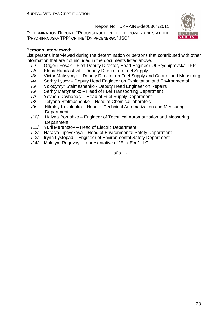DETERMINATION REPORT: "RECONSTRUCTION OF THE POWER UNITS AT THE "PRYDNIPROVSKA TPP" OF THE "DNIPROENERGO" JSC"



#### **Persons interviewed:**

List persons interviewed during the determination or persons that contributed with other information that are not included in the documents listed above.

- /1/ Grigorii Fesak First Deputy Director, Head Engineer Of Prydniprovska TPP
- /2/ Elena Habalashvili Deputy Director on Fuel Supply
- /3/ Victor Maksymyk Deputy Director on Fuel Supply and Control and Measuring
- /4/ Serhiy Lysov Deputy Head Engineer on Exploitation and Environmental
- /5/ Volodymyr Stelmashenko Deputy Head Engineer on Repairs
- /6/ Serhiy Martynenko Head of Fuel Transporting Department
- /7/ Yevhen Dovhopolyi Head of Fuel Supply Department
- /8/ Tetyana Stelmashenko Head of Chemical laboratory
- /9/ Nikolay Kovalenko Head of Technical Automatization and Measuring **Department**
- /10/ Halyna Porushko Engineer of Technical Automatization and Measuring **Department**
- /11/ Yurii Merentsov Head of Electric Department
- /12/ Natalya Lipovskaya Head of Environmental Safety Department
- /13/ Iryna Lystopad Engineer of Environmental Safety Department
- /14/ Maksym Rogovoy representative of "Elta-Eco" LLC

1. o0o -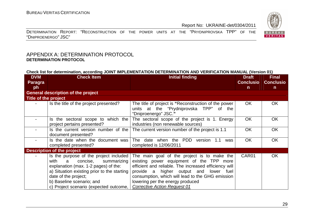DETERMINATION REPORT: "RECONSTRUCTION OF THE POWER UNITS AT THE "PRYDNIPROVSKA TPP" OF THE "DNIPROENERGO" JSC"

#### APPENDIX A: DETERMINATION PROTOCOL **DETERMINATION PROTOCOL**

#### **Check list for determination, according JOINT IMPLEMENTATION DETERMINATION AND VERIFICATION MANUAL (Version 01)**

| <b>DVM</b>           | <b>Check Item</b>                                                                                                                                                                                                                                                               | <b>Initial finding</b>                                                                                                                                                                                                                                                                                                       | <b>Draft</b>     | <b>Final</b>     |  |  |
|----------------------|---------------------------------------------------------------------------------------------------------------------------------------------------------------------------------------------------------------------------------------------------------------------------------|------------------------------------------------------------------------------------------------------------------------------------------------------------------------------------------------------------------------------------------------------------------------------------------------------------------------------|------------------|------------------|--|--|
| <b>Paragra</b>       |                                                                                                                                                                                                                                                                                 |                                                                                                                                                                                                                                                                                                                              | <b>Conclusio</b> | <b>Conclusio</b> |  |  |
| ph                   |                                                                                                                                                                                                                                                                                 |                                                                                                                                                                                                                                                                                                                              | n.               | $\mathsf{n}$     |  |  |
|                      | <b>General description of the project</b>                                                                                                                                                                                                                                       |                                                                                                                                                                                                                                                                                                                              |                  |                  |  |  |
| Title of the project |                                                                                                                                                                                                                                                                                 |                                                                                                                                                                                                                                                                                                                              |                  |                  |  |  |
|                      | Is the title of the project presented?                                                                                                                                                                                                                                          | The title of project is "Reconstruction of the power<br>units at the "Prydniprovska TPP" of the<br>"Dniproenergo" JSC."                                                                                                                                                                                                      | OK.              | <b>OK</b>        |  |  |
|                      | Is the sectoral scope to which the<br>project pertains presented?                                                                                                                                                                                                               | The sectoral scope of the project is 1. Energy<br>industries (non renewable sources)                                                                                                                                                                                                                                         | <b>OK</b>        | <b>OK</b>        |  |  |
|                      | Is the current version number of the<br>document presented?                                                                                                                                                                                                                     | The current version number of the project is 1.1                                                                                                                                                                                                                                                                             | <b>OK</b>        | <b>OK</b>        |  |  |
|                      | Is the date when the document was<br>completed presented?                                                                                                                                                                                                                       | when the PDD<br>The date<br>version<br>1.1<br>was<br>completed is 12/06/2011                                                                                                                                                                                                                                                 | <b>OK</b>        | <b>OK</b>        |  |  |
|                      | <b>Description of the project</b>                                                                                                                                                                                                                                               |                                                                                                                                                                                                                                                                                                                              |                  |                  |  |  |
|                      | Is the purpose of the project included<br>with<br>concise,<br>$\mathbf{a}$<br>summarizing<br>explanation (max. 1-2 pages) of the:<br>a) Situation existing prior to the starting<br>date of the project;<br>b) Baseline scenario; and<br>c) Project scenario (expected outcome, | The main goal of the project is to make the<br>existing power equipment of the TPP<br>more<br>efficient and reliable. The increased efficiency will<br>provide a higher output and lower fuel<br>consumption, which will lead to the GHG emission<br>lowering per the energy produced<br><b>Corrective Action Request 01</b> | CAR01            | <b>OK</b>        |  |  |

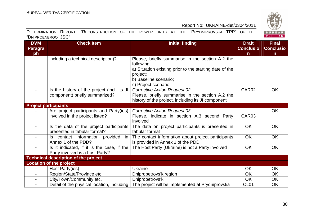

|                     | DETERMINATION REPORT: "RECONSTRUCTION OF THE POWER UNITS AT THE "PRYDNIPROVSKA TPP" OF THE |  |  |  |  |  |
|---------------------|--------------------------------------------------------------------------------------------|--|--|--|--|--|
| "DNIPROENERGO" JSC" |                                                                                            |  |  |  |  |  |

| <b>DVM</b>                  | <b>Check Item</b>                           | <b>Initial finding</b>                                  | <b>Draft</b>      | <b>Final</b>     |
|-----------------------------|---------------------------------------------|---------------------------------------------------------|-------------------|------------------|
| <b>Paragra</b>              |                                             |                                                         | <b>Conclusio</b>  | <b>Conclusio</b> |
| ph                          |                                             |                                                         | n                 | n.               |
|                             | including a technical description)?         | Please, briefly summarise in the section A.2 the        |                   |                  |
|                             |                                             | following:                                              |                   |                  |
|                             |                                             | a) Situation existing prior to the starting date of the |                   |                  |
|                             |                                             | project;                                                |                   |                  |
|                             |                                             | b) Baseline scenario;                                   |                   |                  |
|                             |                                             | c) Project scenario                                     |                   |                  |
|                             | Is the history of the project (incl. its JI | Corrective Action Request 02                            | CAR02             | <b>OK</b>        |
|                             | component) briefly summarized?              | Please, briefly summarise in the section A.2 the        |                   |                  |
|                             |                                             | history of the project, including its JI component      |                   |                  |
| <b>Project participants</b> |                                             |                                                         |                   |                  |
|                             | Are project participants and Party(ies)     | <b>Corrective Action Request 03</b>                     |                   | OK               |
|                             | involved in the project listed?             | Please, indicate in section A.3 second Party            | CAR <sub>03</sub> |                  |
|                             |                                             | involved                                                |                   |                  |
| $\blacksquare$              | Is the data of the project participants     | The data on project participants is presented in        | <b>OK</b>         | <b>OK</b>        |
|                             | presented in tabular format?                | tabular format                                          |                   |                  |
|                             | Is contact information provided in          | The contact information about project participants      | <b>OK</b>         | <b>OK</b>        |
|                             | Annex 1 of the PDD?                         | is provided in Annex 1 of the PDD                       |                   |                  |
| $\blacksquare$              | Is it indicated, if it is the case, if the  | The Host Party (Ukraine) is not a Party involved        | <b>OK</b>         | <b>OK</b>        |
|                             | Party involved is a host Party?             |                                                         |                   |                  |
|                             | <b>Technical description of the project</b> |                                                         |                   |                  |
|                             | <b>Location of the project</b>              |                                                         |                   |                  |
|                             | Host Party(ies)                             | Ukraine                                                 | <b>OK</b>         | <b>OK</b>        |
|                             | Region/State/Province etc.                  | Dnipropetrovs'k region                                  | <b>OK</b>         | <b>OK</b>        |
| $\overline{\phantom{0}}$    | City/Town/Community etc.                    | Dnipropetrovs'k                                         | <b>OK</b>         | <b>OK</b>        |
| $\overline{\phantom{0}}$    | Detail of the physical location, including  | The project will be implemented at Prydniprovska        | CL <sub>01</sub>  | <b>OK</b>        |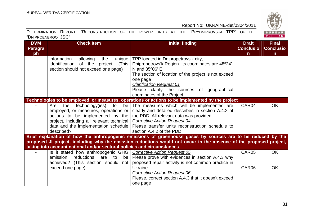

|                     | DETERMINATION REPORT: "RECONSTRUCTION OF THE POWER UNITS AT THE "PRYDNIPROVSKA TPP" OF THE |  |  |  |  |  |
|---------------------|--------------------------------------------------------------------------------------------|--|--|--|--|--|
| "DNIPROENERGO" JSC" |                                                                                            |  |  |  |  |  |

| <b>DVM</b>     | <b>Check Item</b>                                                       | <b>Initial finding</b>                                                                                             | <b>Draft</b>     | <b>Final</b>     |
|----------------|-------------------------------------------------------------------------|--------------------------------------------------------------------------------------------------------------------|------------------|------------------|
| <b>Paragra</b> |                                                                         |                                                                                                                    | <b>Conclusio</b> | <b>Conclusio</b> |
| ph             |                                                                         |                                                                                                                    | $\mathsf{n}$     | $\mathsf{n}$     |
|                | information<br>allowing<br>the<br>unique                                | TPP located in Dnipropetrovs'k city,                                                                               |                  |                  |
|                | identification of the project.<br>(This                                 | Dnipropetrovs'k Region. Its coordinates are 48°24'                                                                 |                  |                  |
|                | section should not exceed one page)                                     | N and 35°06' E                                                                                                     |                  |                  |
|                |                                                                         | The section of location of the project is not exceed                                                               |                  |                  |
|                |                                                                         | one page                                                                                                           |                  |                  |
|                |                                                                         | <b>Clarification Request 01</b>                                                                                    |                  |                  |
|                |                                                                         | Please clarify the sources of geographical                                                                         |                  |                  |
|                |                                                                         | coordinates of the Project                                                                                         |                  |                  |
|                |                                                                         | Technologies to be employed, or measures, operations or actions to be implemented by the project                   |                  |                  |
|                | technology(ies)<br>the<br>to<br>be l<br>Are                             | The measures which will be implemented are                                                                         | CAR04            | <b>OK</b>        |
|                | employed, or measures, operations or                                    | clearly and detailed describes in section A.4.2 of                                                                 |                  |                  |
|                | actions to be implemented by the                                        | the PDD. All relevant data was provided.                                                                           |                  |                  |
|                | project, including all relevant technical                               | <b>Corrective Action Request 04</b>                                                                                |                  |                  |
|                | data and the implementation schedule                                    | Please transfer units reconstruction schedule to                                                                   |                  |                  |
|                | described?                                                              | section A.4.2 of the PDD                                                                                           |                  |                  |
|                |                                                                         | Brief explanation of how the anthropogenic emissions of greenhouse gases by sources are to be reduced by the       |                  |                  |
|                |                                                                         | proposed JI project, including why the emission reductions would not occur in the absence of the proposed project, |                  |                  |
|                | taking into account national and/or sectoral policies and circumstances |                                                                                                                    |                  |                  |
|                | Is it stated how anthropogenic GHG                                      | <b>Corrective Action Request 05</b>                                                                                | CAR05            | <b>OK</b>        |
|                | emission<br>reductions<br>are<br>be<br>to                               | Please prove with evidences in section A.4.3 why                                                                   |                  |                  |
|                | achieved? (This section should<br>not                                   | proposed repair activity is not common practice in                                                                 |                  |                  |
|                | exceed one page)                                                        | <b>Ukraine</b>                                                                                                     | CAR06            | <b>OK</b>        |
|                |                                                                         | <b>Corrective Action Request 06</b>                                                                                |                  |                  |
|                |                                                                         | Please, correct section A.4.3 that it doesn't exceed                                                               |                  |                  |
|                |                                                                         | one page                                                                                                           |                  |                  |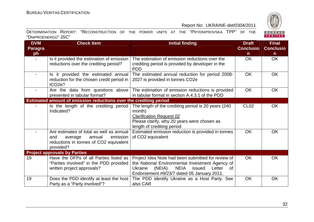

| <b>DVM</b>               | <b>Check Item</b>                                                                                                                       | <b>Initial finding</b>                                                                                                                                                                                             | <b>Draft</b>     | <b>Final</b>     |
|--------------------------|-----------------------------------------------------------------------------------------------------------------------------------------|--------------------------------------------------------------------------------------------------------------------------------------------------------------------------------------------------------------------|------------------|------------------|
| <b>Paragra</b>           |                                                                                                                                         |                                                                                                                                                                                                                    | <b>Conclusio</b> | <b>Conclusio</b> |
| ph                       |                                                                                                                                         |                                                                                                                                                                                                                    | $\mathsf{n}$     | $\mathsf{n}$     |
| $\blacksquare$           | Is it provided the estimation of emission<br>reductions over the crediting period?                                                      | The estimation of emission reductions over the<br>crediting period is provided by developer in the<br><b>PDD</b>                                                                                                   | <b>OK</b>        | <b>OK</b>        |
|                          | Is it provided the estimated annual<br>reduction for the chosen credit period in<br>tCO <sub>2</sub> e?                                 | The estimated annual reduction for period 2008-<br>2027 is provided in tonnes CO2e                                                                                                                                 | <b>OK</b>        | OK               |
| $\overline{\phantom{a}}$ | Are the data from questions above<br>presented in tabular format?                                                                       | The estimation of emission reductions is provided<br>in tabular format in section A.4.3.1 of the PDD                                                                                                               | <b>OK</b>        | <b>OK</b>        |
|                          | Estimated amount of emission reductions over the crediting period                                                                       |                                                                                                                                                                                                                    |                  |                  |
|                          | Is the length of the crediting period<br>Indicated?                                                                                     | The length of the crediting period is 20 years (240)<br>month)<br><b>Clarification Request 02</b><br>Please clarify, why 20 years were chosen as<br>length of crediting period                                     | <b>CL02</b>      | <b>OK</b>        |
|                          | Are estimates of total as well as annual<br>emission<br>annual<br>and<br>average<br>reductions in tonnes of CO2 equivalent<br>provided? | Estimated emission reduction is provided in tonnes<br>of CO2 equivalent                                                                                                                                            | <b>OK</b>        | <b>OK</b>        |
|                          | <b>Project approvals by Parties</b>                                                                                                     |                                                                                                                                                                                                                    |                  |                  |
| 19                       | Have the DFPs of all Parties listed as<br>"Parties involved" in the PDD provided<br>written project approvals?                          | Project Idea Note had been submitted for review of<br>the National Environmental Investment Agency of<br>NEIA<br>(NEIA).<br>issued<br>Letter<br><b>Ukraine</b><br>0f<br>Endorsement #9/23/7 dated 05 January 2011. | <b>OK</b>        | <b>OK</b>        |
| 19                       | Does the PDD identify at least the host<br>Party as a "Party involved"?                                                                 | The PDD identify Ukraine as a Host Party. See<br>also CAR                                                                                                                                                          | <b>OK</b>        | <b>OK</b>        |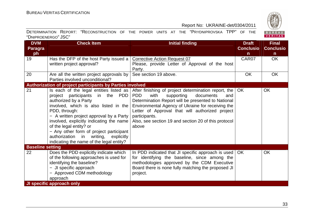

| <b>DVM</b>              | <b>Check Item</b>                                                                                                                                                                                                                                                                                                                                                                                                 | <b>Initial finding</b>                                                                                                                                                                                                                                                                                                                                         | <b>Draft</b>     | <b>Final</b>     |
|-------------------------|-------------------------------------------------------------------------------------------------------------------------------------------------------------------------------------------------------------------------------------------------------------------------------------------------------------------------------------------------------------------------------------------------------------------|----------------------------------------------------------------------------------------------------------------------------------------------------------------------------------------------------------------------------------------------------------------------------------------------------------------------------------------------------------------|------------------|------------------|
| <b>Paragra</b>          |                                                                                                                                                                                                                                                                                                                                                                                                                   |                                                                                                                                                                                                                                                                                                                                                                | <b>Conclusio</b> | <b>Conclusio</b> |
| ph                      |                                                                                                                                                                                                                                                                                                                                                                                                                   |                                                                                                                                                                                                                                                                                                                                                                | $\mathsf{n}$     | $\mathsf{n}$     |
| 19                      | Has the DFP of the host Party issued a                                                                                                                                                                                                                                                                                                                                                                            | <b>Corrective Action Request 07</b>                                                                                                                                                                                                                                                                                                                            | CAR07            | <b>OK</b>        |
|                         | written project approval?                                                                                                                                                                                                                                                                                                                                                                                         | Please, provide Letter of Approval of the host                                                                                                                                                                                                                                                                                                                 |                  |                  |
|                         |                                                                                                                                                                                                                                                                                                                                                                                                                   | Party.                                                                                                                                                                                                                                                                                                                                                         |                  |                  |
| 20                      | Are all the written project approvals by                                                                                                                                                                                                                                                                                                                                                                          | See section 19 above.                                                                                                                                                                                                                                                                                                                                          | <b>OK</b>        | <b>OK</b>        |
|                         | Parties involved unconditional?                                                                                                                                                                                                                                                                                                                                                                                   |                                                                                                                                                                                                                                                                                                                                                                |                  |                  |
|                         | Authorization of project participants by Parties involved                                                                                                                                                                                                                                                                                                                                                         |                                                                                                                                                                                                                                                                                                                                                                |                  |                  |
| 21                      | Is each of the legal entities listed as<br>in the PDD<br>project participants<br>authorized by a Party<br>involved, which is also listed in the<br>PDD, through:<br>- A written project approval by a Party<br>involved, explicitly indicating the name<br>of the legal entity? or<br>- Any other form of project participant<br>authorization in writing, explicitly<br>indicating the name of the legal entity? | After finishing of project determination report, the  <br><b>PDD</b><br>with<br>supporting<br>documents<br>and<br>Determination Report will be presented to National<br>Environmental Agency of Ukraine for receiving the<br>Letter of Approval that will authorized project<br>participants.<br>Also, see section 19 and section 20 of this protocol<br>above | <b>OK</b>        | <b>OK</b>        |
| <b>Baseline setting</b> |                                                                                                                                                                                                                                                                                                                                                                                                                   |                                                                                                                                                                                                                                                                                                                                                                |                  |                  |
| 22                      | Does the PDD explicitly indicate which<br>of the following approaches is used for<br>identifying the baseline?<br>- JI specific approach<br>- Approved CDM methodology<br>approach                                                                                                                                                                                                                                | In PDD indicated that JI specific approach is used   OK<br>for identifying the baseline, since among the<br>methodologies approved by the CDM Executive<br>Board there is none fully matching the proposed JI<br>project.                                                                                                                                      |                  | OK               |
|                         | <b>JI specific approach only</b>                                                                                                                                                                                                                                                                                                                                                                                  |                                                                                                                                                                                                                                                                                                                                                                |                  |                  |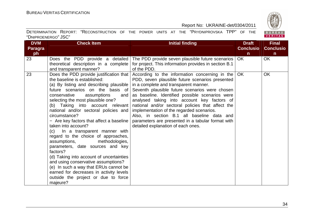

| <b>DVM</b>     | <b>Check Item</b>                                      | <b>Initial finding</b>                                                                  |                  |                  |  |  |  |  |  |
|----------------|--------------------------------------------------------|-----------------------------------------------------------------------------------------|------------------|------------------|--|--|--|--|--|
| <b>Paragra</b> |                                                        |                                                                                         | <b>Conclusio</b> | <b>Conclusio</b> |  |  |  |  |  |
| ph             |                                                        |                                                                                         | $\mathsf{n}$     | $\mathsf{n}$     |  |  |  |  |  |
| 23             | Does the PDD provide a detailed                        | The PDD provide seven plausible future scenarios                                        | OK               | OK               |  |  |  |  |  |
|                | theoretical description in a complete                  | for project. This information provides in section B.1                                   |                  |                  |  |  |  |  |  |
|                | and transparent manner?                                | of the PDD.                                                                             |                  |                  |  |  |  |  |  |
| 23             | Does the PDD provide justification that                | According to the information concerning in the                                          | OK.              | OK               |  |  |  |  |  |
|                | the baseline is established:                           | PDD, seven plausible future scenarios presented                                         |                  |                  |  |  |  |  |  |
|                | (a) By listing and describing plausible                | in a complete and transparent manner.                                                   |                  |                  |  |  |  |  |  |
|                | future scenarios on the basis of                       | Seventh plausible future scenarios were chosen                                          |                  |                  |  |  |  |  |  |
|                | conservative<br>assumptions<br>and                     | as baseline. Identified possible scenarios were                                         |                  |                  |  |  |  |  |  |
|                | selecting the most plausible one?                      | analysed taking into account key factors of                                             |                  |                  |  |  |  |  |  |
|                | (b) Taking into account relevant                       | national and/or sectoral policies that affect the                                       |                  |                  |  |  |  |  |  |
|                | national and/or sectoral policies and<br>circumstance? | implementation of the regarded scenarios.<br>Also, in section B.1 all baseline data and |                  |                  |  |  |  |  |  |
|                | - Are key factors that affect a baseline               | parameters are presented in a tabular format with                                       |                  |                  |  |  |  |  |  |
|                | taken into account?                                    | detailed explanation of each ones.                                                      |                  |                  |  |  |  |  |  |
|                | In a transparent manner with<br>(C)                    |                                                                                         |                  |                  |  |  |  |  |  |
|                | regard to the choice of approaches,                    |                                                                                         |                  |                  |  |  |  |  |  |
|                | assumptions,<br>methodologies,                         |                                                                                         |                  |                  |  |  |  |  |  |
|                | parameters, date sources and key                       |                                                                                         |                  |                  |  |  |  |  |  |
|                | factors?                                               |                                                                                         |                  |                  |  |  |  |  |  |
|                | (d) Taking into account of uncertainties               |                                                                                         |                  |                  |  |  |  |  |  |
|                | and using conservative assumptions?                    |                                                                                         |                  |                  |  |  |  |  |  |
|                | (e) In such a way that ERUs cannot be                  |                                                                                         |                  |                  |  |  |  |  |  |
|                | earned for decreases in activity levels                |                                                                                         |                  |                  |  |  |  |  |  |
|                | outside the project or due to force                    |                                                                                         |                  |                  |  |  |  |  |  |
|                | majeure?                                               |                                                                                         |                  |                  |  |  |  |  |  |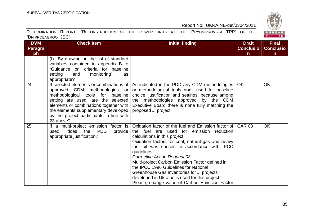BUREAU<br>VERITAS

#### Report No: UKRAINE-det/0304/2011

| <b>DVM</b>     | <b>Check Item</b>                                                            | <b>Initial finding</b>                                                                           | <b>Draft</b>     | <b>Final</b>     |
|----------------|------------------------------------------------------------------------------|--------------------------------------------------------------------------------------------------|------------------|------------------|
| <b>Paragra</b> |                                                                              |                                                                                                  | <b>Conclusio</b> | <b>Conclusio</b> |
| ph             |                                                                              |                                                                                                  | n.               | n.               |
|                | (f) By drawing on the list of standard                                       |                                                                                                  |                  |                  |
|                | variables contained in appendix B to<br>"Guidance on criteria for baseline   |                                                                                                  |                  |                  |
|                | monitoring",<br>setting<br>and<br>as                                         |                                                                                                  |                  |                  |
|                | appropriate?                                                                 |                                                                                                  |                  |                  |
| 24             | If selected elements or combinations of                                      | As indicated in the PDD any CDM methodologies                                                    | <b>OK</b>        | <b>OK</b>        |
|                | approved CDM methodologies or                                                | or methodological tools don't used for baseline                                                  |                  |                  |
|                | methodological tools for baseline                                            | choice, justification and settings, because among                                                |                  |                  |
|                | setting are used, are the selected<br>elements or combinations together with | the methodologies approved by the CDM<br>Executive Board there is none fully matching the        |                  |                  |
|                | the elements supplementary developed                                         | proposed JI project.                                                                             |                  |                  |
|                | by the project participants in line with                                     |                                                                                                  |                  |                  |
|                | 23 above?                                                                    |                                                                                                  |                  |                  |
| 25             | If a multi-project emission factor is                                        | Oxidation factor of the fuel and Emission factor of CAR 08                                       |                  | <b>OK</b>        |
|                | the PDD<br>does<br>provide<br>used.                                          | the fuel are used for emission reduction                                                         |                  |                  |
|                | appropriate justification?                                                   | calculations in this project.                                                                    |                  |                  |
|                |                                                                              | Oxidation factors for coal, natural gas and heavy<br>fuel oil was chosen in accordance with IPCC |                  |                  |
|                |                                                                              | guidelines.                                                                                      |                  |                  |
|                |                                                                              | <b>Corrective Action Request 08</b>                                                              |                  |                  |
|                |                                                                              | Multi-project Carbon Emission Factor defined in                                                  |                  |                  |
|                |                                                                              | the IPCC 1996 Guidelines for National                                                            |                  |                  |
|                |                                                                              | Greenhouse Gas Inventories for JI projects                                                       |                  |                  |
|                |                                                                              | developed in Ukraine is used for this project.                                                   |                  |                  |
|                |                                                                              | Please, change value of Carbon Emission Factor                                                   |                  |                  |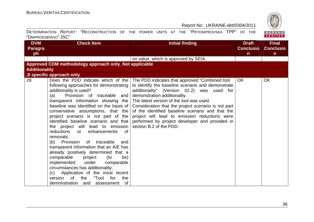

|                     | DETERMINATION REPORT: "RECONSTRUCTION OF THE POWER UNITS AT THE "PRYDNIPROVSKA TPP" OF THE |  |  |  |  |  |
|---------------------|--------------------------------------------------------------------------------------------|--|--|--|--|--|
| "DNIPROENERGO" JSC" |                                                                                            |  |  |  |  |  |

| <b>DVM</b>           | <b>Check Item</b>                                                                                                                                                                                                                                                                                                                                                                                                                                                                                                                                                                                                                                                                              | <b>Initial finding</b>                                                                                                                                                                                                                                                                                                                                                                                                                                                  | <b>Draft</b>     | <b>Final</b>     |
|----------------------|------------------------------------------------------------------------------------------------------------------------------------------------------------------------------------------------------------------------------------------------------------------------------------------------------------------------------------------------------------------------------------------------------------------------------------------------------------------------------------------------------------------------------------------------------------------------------------------------------------------------------------------------------------------------------------------------|-------------------------------------------------------------------------------------------------------------------------------------------------------------------------------------------------------------------------------------------------------------------------------------------------------------------------------------------------------------------------------------------------------------------------------------------------------------------------|------------------|------------------|
| <b>Paragra</b>       |                                                                                                                                                                                                                                                                                                                                                                                                                                                                                                                                                                                                                                                                                                |                                                                                                                                                                                                                                                                                                                                                                                                                                                                         | <b>Conclusio</b> | <b>Conclusio</b> |
| ph                   |                                                                                                                                                                                                                                                                                                                                                                                                                                                                                                                                                                                                                                                                                                |                                                                                                                                                                                                                                                                                                                                                                                                                                                                         | $\mathsf{n}$     | $\mathsf{n}$     |
|                      |                                                                                                                                                                                                                                                                                                                                                                                                                                                                                                                                                                                                                                                                                                | on value, which is approved by SEIA.                                                                                                                                                                                                                                                                                                                                                                                                                                    |                  |                  |
|                      | Approved CDM methodology approach only_Not applicable                                                                                                                                                                                                                                                                                                                                                                                                                                                                                                                                                                                                                                          |                                                                                                                                                                                                                                                                                                                                                                                                                                                                         |                  |                  |
| <b>Additionality</b> |                                                                                                                                                                                                                                                                                                                                                                                                                                                                                                                                                                                                                                                                                                |                                                                                                                                                                                                                                                                                                                                                                                                                                                                         |                  |                  |
|                      | JI specific approach only                                                                                                                                                                                                                                                                                                                                                                                                                                                                                                                                                                                                                                                                      |                                                                                                                                                                                                                                                                                                                                                                                                                                                                         |                  |                  |
| 28                   | Does the PDD indicate which of the<br>following approaches for demonstrating<br>additionality is used?<br>Provision of traceable and<br>(a)<br>transparent information showing the<br>baseline was identified on the basis of<br>conservative assumptions, that the<br>project scenario is not part of the<br>identified baseline scenario and that<br>the project will lead to emission<br>reductions<br>enhancements<br>റf<br>or<br>removals:<br>Provision<br>(b)<br>of traceable<br>and<br>transparent information that an AIE has<br>already positively determined that a<br>comparable<br>project<br>(to<br>be)<br>implemented<br>under<br>comparable<br>circumstances has additionality; | The PDD indicates that approved "Combined tool"<br>to identify the baseline scenario and demonstrate<br>additionality" (Version 02.2) was used for<br>demonstration additionality.<br>The latest version of the tool was used.<br>Consideration that the project scenario is not part<br>of the identified baseline scenario and that the<br>project will lead to emission reductions were<br>performed by project developer and provided in<br>section B.2 of the PDD. | <b>OK</b>        | <b>OK</b>        |
|                      | (c) Application of the most recent<br>"Tool<br>0f<br>version<br>the<br>for<br>the<br>demonstration<br>and<br>assessment of                                                                                                                                                                                                                                                                                                                                                                                                                                                                                                                                                                     |                                                                                                                                                                                                                                                                                                                                                                                                                                                                         |                  |                  |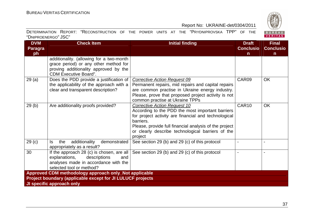BUREAU<br>VERITAS

#### Report No: UKRAINE-det/0304/2011

| <b>DVM</b>        | <b>Check Item</b>                                                                                                                                          | <b>Initial finding</b>                                                                                                                                                                                                                                                          | <b>Draft</b>     | <b>Final</b>     |
|-------------------|------------------------------------------------------------------------------------------------------------------------------------------------------------|---------------------------------------------------------------------------------------------------------------------------------------------------------------------------------------------------------------------------------------------------------------------------------|------------------|------------------|
| <b>Paragra</b>    |                                                                                                                                                            |                                                                                                                                                                                                                                                                                 | <b>Conclusio</b> | <b>Conclusio</b> |
| ph                |                                                                                                                                                            |                                                                                                                                                                                                                                                                                 | $\mathsf{n}$     | n                |
|                   | additionality. (allowing for a two-month<br>grace period) or any other method for<br>proving additionality approved by the<br><b>CDM Executive Board".</b> |                                                                                                                                                                                                                                                                                 |                  |                  |
| 29(a)             | Does the PDD provide a justification of<br>the applicability of the approach with a<br>clear and transparent description?                                  | <b>Corrective Action Request 09</b><br>Permanent repairs, mid repairs and capital repairs<br>are common practise in Ukraine energy industry.<br>Please, prove that proposed project activity is not<br>common practise at Ukraine TPPs                                          | CAR09            | <b>OK</b>        |
| 29(b)             | Are additionality proofs provided?                                                                                                                         | Corrective Action Request 10<br>According to the PDD the most important barriers<br>for project activity are financial and technological<br>barriers.<br>Please, provide full financial analysis of the project<br>or clearly describe technological barriers of the<br>project | CAR10            | <b>OK</b>        |
| 29 <sub>(c)</sub> | additionality<br>the<br>demonstrated<br>ls.<br>appropriately as a result?                                                                                  | See section 29 (b) and 29 (c) of this protocol                                                                                                                                                                                                                                  |                  |                  |
| 30                | If the approach 28 (c) is chosen, are all<br>explanations,<br>descriptions<br>and<br>analyses made in accordance with the<br>selected tool or method?      | See section 29 (b) and 29 (c) of this protocol                                                                                                                                                                                                                                  |                  |                  |
|                   | Approved CDM methodology approach only_Not applicable                                                                                                      |                                                                                                                                                                                                                                                                                 |                  |                  |
|                   | <b>Project boundary (applicable except for JI LULUCF projects</b>                                                                                          |                                                                                                                                                                                                                                                                                 |                  |                  |
|                   | JI specific approach only                                                                                                                                  |                                                                                                                                                                                                                                                                                 |                  |                  |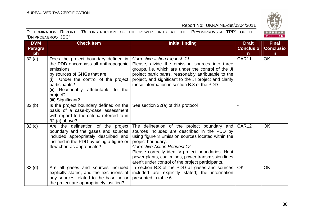BUREAU<br>VERITAS

|                     | DETERMINATION REPORT: "RECONSTRUCTION OF THE POWER UNITS AT THE "PRYDNIPROVSKA TPP" OF THE |  |  |  |  |  |
|---------------------|--------------------------------------------------------------------------------------------|--|--|--|--|--|
| "DNIPROENERGO" JSC" |                                                                                            |  |  |  |  |  |

| <b>DVM</b>        | <b>Check Item</b>                                                                                                                                                                                                                                             | <b>Initial finding</b>                                                                                                                                                                                                                                                                                                                                                               | <b>Draft</b>     | <b>Final</b>     |
|-------------------|---------------------------------------------------------------------------------------------------------------------------------------------------------------------------------------------------------------------------------------------------------------|--------------------------------------------------------------------------------------------------------------------------------------------------------------------------------------------------------------------------------------------------------------------------------------------------------------------------------------------------------------------------------------|------------------|------------------|
| <b>Paragra</b>    |                                                                                                                                                                                                                                                               |                                                                                                                                                                                                                                                                                                                                                                                      | <b>Conclusio</b> | <b>Conclusio</b> |
| ph                |                                                                                                                                                                                                                                                               |                                                                                                                                                                                                                                                                                                                                                                                      | $\mathsf{n}$     | $\mathsf{n}$     |
| 32(a)             | Does the project boundary defined in<br>the PDD encompass all anthropogenic<br>emissions<br>by sources of GHGs that are:<br>Under the control of the project<br>(i)<br>participants?<br>(ii) Reasonably attributable to the<br>project?<br>(iii) Significant? | Corrective action request 11<br>Please, divide the emission sources into three<br>groups, i.e. which are under the control of the JI<br>project participants, reasonably attributable to the<br>project, and significant to the JI project and clarify<br>these information in section B.3 of the PDD                                                                                | CAR11            | <b>OK</b>        |
| 32(b)             | Is the project boundary defined on the<br>basis of a case-by-case assessment<br>with regard to the criteria referred to in<br>32 (a) above?                                                                                                                   | See section 32(a) of this protocol                                                                                                                                                                                                                                                                                                                                                   |                  |                  |
| 32(c)             | Are the delineation of the project<br>boundary and the gases and sources<br>included appropriately described and<br>justified in the PDD by using a figure or<br>flow chart as appropriate?                                                                   | The delineation of the project boundary and CAR12<br>sources included are described in the PDD by<br>using figure 3 Emission sources located within the<br>project boundary.<br><b>Corrective Action Request 12</b><br>Please correctly identify project boundaries. Heat<br>power plants, coal mines, power transmission lines<br>aren't under control of the project participants. |                  | <b>OK</b>        |
| 32 <sub>(d)</sub> | Are all gases and sources included<br>explicitly stated, and the exclusions of<br>any sources related to the baseline or<br>the project are appropriately justified?                                                                                          | In section B.3 of the PDD all gases and sources<br>included are explicitly stated; the information<br>presented in table 6                                                                                                                                                                                                                                                           | <b>OK</b>        | OK               |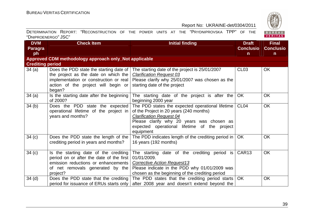UREAU<br>ERITAS

| <b>DVM</b>          | Check Item!                                                                                |  |  | <b>Initial finding</b> |  | <b>Draft</b> |  |
|---------------------|--------------------------------------------------------------------------------------------|--|--|------------------------|--|--------------|--|
| "DNIPROENERGO" JSC" |                                                                                            |  |  |                        |  |              |  |
|                     | DETERMINATION REPORT: "RECONSTRUCTION OF THE POWER UNITS AT THE "PRYDNIPROVSKA TPP" OF THE |  |  |                        |  |              |  |

| <b>DVM</b>              | <b>Check Item</b>                                                                                                                                                          | <b>Initial finding</b>                                                                                                                                                                                                                   | <b>Draft</b>                     | <b>Final</b>                     |
|-------------------------|----------------------------------------------------------------------------------------------------------------------------------------------------------------------------|------------------------------------------------------------------------------------------------------------------------------------------------------------------------------------------------------------------------------------------|----------------------------------|----------------------------------|
| <b>Paragra</b><br>ph    |                                                                                                                                                                            |                                                                                                                                                                                                                                          | <b>Conclusio</b><br>$\mathsf{n}$ | <b>Conclusio</b><br>$\mathsf{n}$ |
|                         | Approved CDM methodology approach only_Not applicable                                                                                                                      |                                                                                                                                                                                                                                          |                                  |                                  |
| <b>Crediting period</b> |                                                                                                                                                                            |                                                                                                                                                                                                                                          |                                  |                                  |
| 34(a)                   | Does the PDD state the starting date of<br>the project as the date on which the<br>implementation or construction or real<br>action of the project will begin or<br>began? | The starting date of the project is 25/01/2007<br><b>Clarification Request 03</b><br>Please clarify why 25/01/2007 was chosen as the<br>starting date of the project                                                                     | CL <sub>03</sub>                 | OK                               |
| 34(a)                   | Is the starting date after the beginning<br>of 2000?                                                                                                                       | The starting date of the project is after the<br>beginning 2000 year                                                                                                                                                                     | OK.                              | <b>OK</b>                        |
| 34(b)                   | Does the PDD state the expected<br>operational lifetime of the project in<br>years and months?                                                                             | The PDD states the expected operational lifetime<br>of the Project in 20 years (240 months)<br><b>Clarification Request 04</b><br>Please clarify why 20 years was chosen as<br>expected operational lifetime of the project<br>equipment | CL <sub>04</sub>                 | <b>OK</b>                        |
| 34(c)                   | Does the PDD state the length of the<br>crediting period in years and months?                                                                                              | The PDD indicates length of the crediting period in $\vert$ OK<br>16 years (192 months)                                                                                                                                                  |                                  | <b>OK</b>                        |
| 34 <sub>(c)</sub>       | Is the starting date of the crediting<br>period on or after the date of the first<br>emission reductions or enhancements<br>of net removals generated by the<br>project?   | The starting date of the crediting period is<br>01/01/2009.<br><b>Corrective Action Request13</b><br>Please indicate in the PDD why 01/01/2009 was<br>chosen as the beginning of the crediting period                                    | CAR <sub>13</sub>                | <b>OK</b>                        |
| 34 <sub>(d)</sub>       | Does the PDD state that the crediting<br>period for issuance of ERUs starts only                                                                                           | The PDD states that the crediting period starts<br>after 2008 year and doesn't extend beyond the                                                                                                                                         | <b>OK</b>                        | <b>OK</b>                        |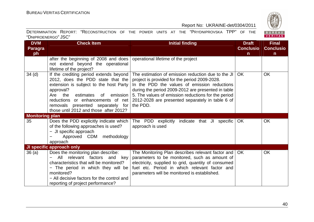BUREAU<br>VERITAS

|                     | DETERMINATION REPORT: "RECONSTRUCTION OF THE POWER UNITS AT THE "PRYDNIPROVSKA TPP" OF THE |  |  |  |  |  |
|---------------------|--------------------------------------------------------------------------------------------|--|--|--|--|--|
| "DNIPROENERGO" JSC" |                                                                                            |  |  |  |  |  |

| <b>DVM</b>             | <b>Check Item</b>                          | <b>Initial finding</b>                                 | <b>Draft</b>     | <b>Final</b>     |
|------------------------|--------------------------------------------|--------------------------------------------------------|------------------|------------------|
| Paragra                |                                            |                                                        | <b>Conclusio</b> | <b>Conclusio</b> |
| ph                     |                                            |                                                        | $\mathsf{n}$     | $\mathsf{n}$     |
|                        | after the beginning of 2008 and does       | operational lifetime of the project                    |                  |                  |
|                        | not extend beyond the operational          |                                                        |                  |                  |
|                        | lifetime of the project?                   |                                                        |                  |                  |
| 34 <sub>(d)</sub>      | If the crediting period extends beyond     | The estimation of emission reduction due to the JI     | OK.              | OK               |
|                        | 2012, does the PDD state that the          | project is provided for the period 2009-2028.          |                  |                  |
|                        | extension is subject to the host Party     | In the PDD the values of emission reductions           |                  |                  |
|                        | approval?                                  | during the period 2009-2012 are presented in table     |                  |                  |
|                        | the<br>emission<br>Are<br>estimates<br>of  | 5. The values of emission reductions for the period    |                  |                  |
|                        | reductions or enhancements of net          | 2012-2028 are presented separately in table 6 of       |                  |                  |
|                        | removals presented separately for          | the PDD.                                               |                  |                  |
|                        | those until 2012 and those after 2012?     |                                                        |                  |                  |
| <b>Monitoring plan</b> |                                            |                                                        |                  |                  |
| 35                     | Does the PDD explicitly indicate which     | The PDD explicitly<br>indicate that JI specific        | <b>OK</b>        | <b>OK</b>        |
|                        | of the following approaches is used?       | approach is used                                       |                  |                  |
|                        | - JI specific approach                     |                                                        |                  |                  |
|                        | Approved CDM methodology                   |                                                        |                  |                  |
|                        | approach                                   |                                                        |                  |                  |
|                        | <b>JI specific approach only</b>           |                                                        |                  |                  |
| 36(a)                  | Does the monitoring plan describe:         | The Monitoring Plan describes relevant factor and   OK |                  | <b>OK</b>        |
|                        | relevant factors<br>All<br>and<br>key      | parameters to be monitored, such as amount of          |                  |                  |
|                        | characteristics that will be monitored?    | electricity, supplied to grid, quantity of consumed    |                  |                  |
|                        | - The period in which they will be         | fuel etc. Period in which relevant factor and          |                  |                  |
|                        | monitored?                                 | parameters will be monitored is established.           |                  |                  |
|                        | - All decisive factors for the control and |                                                        |                  |                  |
|                        | reporting of project performance?          |                                                        |                  |                  |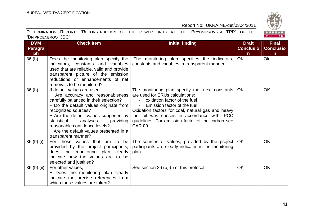

| <b>DVM</b>                       | <b>Check Item</b>                                                                                                                                                                                                                                                                                                                                                   | <b>Initial finding</b>                                                                                                                                                                                                                                                                                                                     | <b>Draft</b>     | <b>Final</b>     |
|----------------------------------|---------------------------------------------------------------------------------------------------------------------------------------------------------------------------------------------------------------------------------------------------------------------------------------------------------------------------------------------------------------------|--------------------------------------------------------------------------------------------------------------------------------------------------------------------------------------------------------------------------------------------------------------------------------------------------------------------------------------------|------------------|------------------|
| <b>Paragra</b>                   |                                                                                                                                                                                                                                                                                                                                                                     |                                                                                                                                                                                                                                                                                                                                            | <b>Conclusio</b> | <b>Conclusio</b> |
| ph                               |                                                                                                                                                                                                                                                                                                                                                                     |                                                                                                                                                                                                                                                                                                                                            | $\mathsf{n}$     | $\mathsf{n}$     |
| 36 <sub>(b)</sub>                | Does the monitoring plan specify the<br>indicators, constants and variables<br>used that are reliable, valid and provide<br>transparent picture of the emission<br>reductions or enhancements of net<br>removals to be monitored?                                                                                                                                   | The monitoring plan specifies the indicators,<br>constants and variables in transparent manner.                                                                                                                                                                                                                                            | OK               | Ok               |
| 36 <sub>(b)</sub>                | If default values are used:<br>- Are accuracy and reasonableness<br>carefully balanced in their selection?<br>- Do the default values originate from $ $<br>recognized sources?<br>- Are the default values supported by<br>statistical<br>analyses<br>providing<br>reasonable confidence levels?<br>- Are the default values presented in a<br>transparent manner? | The monitoring plan specify that next constants<br>are used for ERUs calculations:<br>oxidation factor of the fuel<br>Emission factor of the fuel.<br>$\sim 100$<br>Oxidation factors for coal, natural gas and heavy<br>fuel oil was chosen in accordance with IPCC<br>guidelines. For emission factor of the carbon see<br><b>CAR 09</b> | OK.              | <b>OK</b>        |
| 36 <sub>(b)</sub> <sub>(i)</sub> | For those values that are to be<br>provided by the project participants,<br>does the monitoring plan clearly<br>indicate how the values are to be<br>selected and justified?                                                                                                                                                                                        | The sources of values, provided by the project<br>participants are clearly indicates in the monitoring<br>plan                                                                                                                                                                                                                             | OK.              | <b>OK</b>        |
| $36$ (b) (ii)                    | For other values,<br>- Does the monitoring plan clearly<br>indicate the precise references from<br>which these values are taken?                                                                                                                                                                                                                                    | See section 36 (b) (i) of this protocol                                                                                                                                                                                                                                                                                                    | <b>OK</b>        | <b>OK</b>        |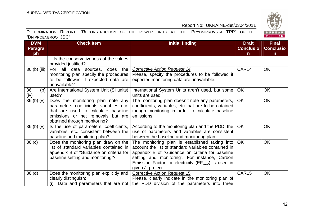

| <b>DVM</b>                       | <b>Check Item</b>                                                                                                                                                                          | <b>Initial finding</b>                                                                                                                                                                                                                                                                                          | <b>Draft</b>                     | <b>Final</b>                     |
|----------------------------------|--------------------------------------------------------------------------------------------------------------------------------------------------------------------------------------------|-----------------------------------------------------------------------------------------------------------------------------------------------------------------------------------------------------------------------------------------------------------------------------------------------------------------|----------------------------------|----------------------------------|
| <b>Paragra</b><br>ph             |                                                                                                                                                                                            |                                                                                                                                                                                                                                                                                                                 | <b>Conclusio</b><br>$\mathsf{n}$ | <b>Conclusio</b><br>$\mathsf{n}$ |
|                                  | - Is the conservativeness of the values<br>provided justified?                                                                                                                             |                                                                                                                                                                                                                                                                                                                 |                                  |                                  |
| 36 (b) (iii)                     | For all data sources, does the<br>monitoring plan specify the procedures<br>to be followed if expected data are<br>unavailable?                                                            | Corrective Action Request 14<br>Please, specify the procedures to be followed if<br>expected monitoring data are unavailable.                                                                                                                                                                                   | CAR14                            | <b>OK</b>                        |
| 36<br>(b)<br>(iv)                | Are International System Unit (SI units)<br>used?                                                                                                                                          | International System Units aren't used, but some<br>units are used.                                                                                                                                                                                                                                             | <b>OK</b>                        | <b>OK</b>                        |
| 36(b)(v)                         | Does the monitoring plan note any<br>parameters, coefficients, variables, etc.<br>that are used to calculate baseline<br>emissions or net removals but are<br>obtained through monitoring? | The monitoring plan doesn't note any parameters,<br>coefficients, variables, etc that are to be obtained<br>though monitoring in order to calculate baseline<br>emissions                                                                                                                                       | <b>OK</b>                        | <b>OK</b>                        |
| 36 <sub>(b)</sub> <sub>(v)</sub> | Is the use of parameters, coefficients,<br>variables, etc. consistent between the<br>baseline and monitoring plan?                                                                         | According to the monitoring plan and the PDD, the<br>use of parameters and variables are consistent<br>between the baseline and monitoring plan.                                                                                                                                                                | <b>OK</b>                        | <b>OK</b>                        |
| 36 <sub>(c)</sub>                | Does the monitoring plan draw on the<br>list of standard variables contained in<br>appendix B of "Guidance on criteria for<br>baseline setting and monitoring"?                            | The monitoring plan is established taking into $\overline{\text{OK}}$<br>account the list of standard variables contained in<br>appendix B of "Guidance on criteria for baseline<br>setting and monitoring". For instance, Carbon<br>Emission Factor for electricity ( $EFCO2$ ) is used in<br>given JI project |                                  | <b>OK</b>                        |
| 36 <sub>(d)</sub>                | Does the monitoring plan explicitly and<br>clearly distinguish:                                                                                                                            | <b>Corrective Action Request 15</b><br>Please, clearly indicate in the monitoring plan of<br>(i) Data and parameters that are not   the PDD division of the parameters into three                                                                                                                               | CAR15                            | <b>OK</b>                        |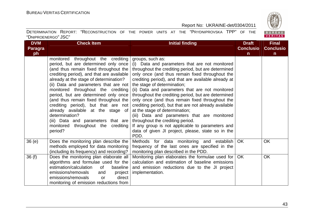BUREAU<br>VERITAS

#### Report No: UKRAINE-det/0304/2011

| <b>DVM</b>     | <b>Check Item</b>                                   | <b>Initial finding</b>                                                         | <b>Draft</b>     | <b>Final</b>     |
|----------------|-----------------------------------------------------|--------------------------------------------------------------------------------|------------------|------------------|
| <b>Paragra</b> |                                                     |                                                                                | <b>Conclusio</b> | <b>Conclusio</b> |
| ph             |                                                     |                                                                                | $\mathsf{n}$     | n.               |
|                | monitored throughout the crediting                  | groups, such as:                                                               |                  |                  |
|                | period, but are determined only once                | (i) Data and parameters that are not monitored                                 |                  |                  |
|                | (and thus remain fixed throughout the               | throughout the crediting period, but are determined                            |                  |                  |
|                | crediting period), and that are available           | only once (and thus remain fixed throughout the                                |                  |                  |
|                | already at the stage of determination?              | crediting period), and that are available already at                           |                  |                  |
|                | (ii) Data and parameters that are not               | the stage of determination;                                                    |                  |                  |
|                | monitored throughout the crediting                  | (ii) Data and parameters that are not monitored                                |                  |                  |
|                | period, but are determined only once                | throughout the crediting period, but are determined                            |                  |                  |
|                | (and thus remain fixed throughout the               | only once (and thus remain fixed throughout the                                |                  |                  |
|                | crediting period), but that are not                 | crediting period), but that are not already available                          |                  |                  |
|                | already available at the stage of<br>determination? | at the stage of determination;<br>(iii) Data and parameters that are monitored |                  |                  |
|                | (iii) Data and parameters that are                  | throughout the crediting period.                                               |                  |                  |
|                | monitored throughout the<br>crediting               | If any group is not applicable to parameters and                               |                  |                  |
|                | period?                                             | data of given JI project, please, state so in the                              |                  |                  |
|                |                                                     | PDD.                                                                           |                  |                  |
| 36(e)          | Does the monitoring plan describe the               | Methods for data monitoring and establish                                      | <b>OK</b>        | <b>OK</b>        |
|                | methods employed for data monitoring                | frequency of the last ones are specified in the                                |                  |                  |
|                | (including its frequency) and recording?            | monitoring plan described in the PDD.                                          |                  |                  |
| 36(f)          | Does the monitoring plan elaborate all              | Monitoring plan elaborates the formulae used for                               | OK               | OK               |
|                | algorithms and formulae used for the                | calculation and estimation of baseline emissions                               |                  |                  |
|                | estimation/calculation<br>0f<br>baseline            | and emission reductions due to the JI project                                  |                  |                  |
|                | emissions/removals<br>and<br>project                | implementation.                                                                |                  |                  |
|                | emissions/removals<br>direct<br><b>or</b>           |                                                                                |                  |                  |
|                | monitoring of emission reductions from              |                                                                                |                  |                  |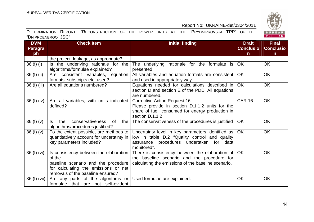

| <b>DVM</b>     | <b>Check Item</b>                                                                                                                                                    | <b>Initial finding</b>                                                                                                                                        | <b>Draft</b>     | <b>Final</b>     |
|----------------|----------------------------------------------------------------------------------------------------------------------------------------------------------------------|---------------------------------------------------------------------------------------------------------------------------------------------------------------|------------------|------------------|
| <b>Paragra</b> |                                                                                                                                                                      |                                                                                                                                                               | <b>Conclusio</b> | <b>Conclusio</b> |
| ph             |                                                                                                                                                                      |                                                                                                                                                               | $\mathsf{n}$     | $\mathsf{n}$     |
|                | the project, leakage, as appropriate?                                                                                                                                |                                                                                                                                                               |                  |                  |
| 36 (f) (i)     | Is the underlying rationale for the<br>algorithms/formulae explained?                                                                                                | The underlying rationale for the formulae is<br>presented                                                                                                     | <b>OK</b>        | <b>OK</b>        |
| 36 (f) (ii)    | Are consistent variables, equation<br>formats, subscripts etc. used?                                                                                                 | All variables and equation formats are consistent<br>and used in appropriately way.                                                                           | <b>OK</b>        | <b>OK</b>        |
| 36 (f) (iii)   | Are all equations numbered?                                                                                                                                          | Equations needed for calculations described in<br>section D and section E of the PDD. All equations<br>are numbered.                                          | <b>OK</b>        | <b>OK</b>        |
| 36 (f) (iv)    | Are all variables, with units indicated<br>defined?                                                                                                                  | <b>Corrective Action Request 16</b><br>Please provide in section D.1.1.2 units for the<br>share of fuel, consumed for energy production in<br>section D.1.1.2 | <b>CAR 16</b>    | <b>OK</b>        |
| 36(f)(v)       | the<br>conservativeness<br>ls.<br>0f<br>the<br>algorithms/procedures justified?                                                                                      | The conservativeness of the procedures is justified                                                                                                           | <b>OK</b>        | <b>OK</b>        |
| 36(f)(v)       | To the extent possible, are methods to<br>quantitatively account for uncertainty in<br>key parameters included?                                                      | Uncertainty level in key parameters identified as<br>low in table D.2 "Quality control and quality<br>assurance procedures undertaken for data<br>monitored". | <b>OK</b>        | <b>OK</b>        |
| 36 (f) (vi)    | Is consistency between the elaboration<br>of the<br>baseline scenario and the procedure<br>for calculating the emissions or net<br>removals of the baseline ensured? | There is consistency between the elaboration of<br>the baseline scenario and the procedure for<br>calculating the emissions of the baseline scenario.         | <b>OK</b>        | <b>OK</b>        |
| 36 (f) (vii)   | Are any parts of the algorithms or<br>formulae that are not self-evident                                                                                             | Used formulae are explained.                                                                                                                                  | <b>OK</b>        | OK               |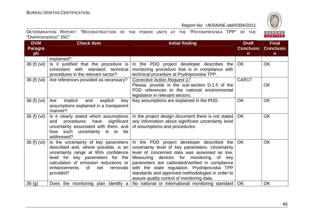

| <b>DVM</b>     | <b>Check Item</b>                                                                                                                                                                                           | <b>Initial finding</b>                                                                                                                                                                                                                                                                                                                               | <b>Draft</b>     | <b>Final</b>     |
|----------------|-------------------------------------------------------------------------------------------------------------------------------------------------------------------------------------------------------------|------------------------------------------------------------------------------------------------------------------------------------------------------------------------------------------------------------------------------------------------------------------------------------------------------------------------------------------------------|------------------|------------------|
| <b>Paragra</b> |                                                                                                                                                                                                             |                                                                                                                                                                                                                                                                                                                                                      | <b>Conclusio</b> | <b>Conclusio</b> |
| ph             |                                                                                                                                                                                                             |                                                                                                                                                                                                                                                                                                                                                      | $\mathsf{n}$     | $\mathsf{n}$     |
|                | explained?                                                                                                                                                                                                  |                                                                                                                                                                                                                                                                                                                                                      |                  |                  |
| 36 (f) (vii)   | Is it justified that the procedure is<br>consistent with standard technical                                                                                                                                 | In the PDD project developer describes the<br>monitoring procedure that is in compliance with                                                                                                                                                                                                                                                        | <b>OK</b>        | <b>OK</b>        |
|                | procedures in the relevant sector?                                                                                                                                                                          | technical procedure at Prydniprovska TPP.                                                                                                                                                                                                                                                                                                            |                  |                  |
| 36 (f) (vii)   | Are references provided as necessary?                                                                                                                                                                       | <b>Corrective Action Request 17</b><br>Please, provide in the sub-section D.1.5 of the                                                                                                                                                                                                                                                               | CAR17            | OK               |
|                |                                                                                                                                                                                                             | PDD references to the national environmental<br>legislation in relevant sectors.                                                                                                                                                                                                                                                                     |                  |                  |
| 36 (f) (vii)   | implicit<br>and<br>explicit<br>Are<br>key                                                                                                                                                                   | Key assumptions are explained in the PDD.                                                                                                                                                                                                                                                                                                            | <b>OK</b>        | <b>OK</b>        |
|                | assumptions explained in a transparent                                                                                                                                                                      |                                                                                                                                                                                                                                                                                                                                                      |                  |                  |
|                | manner?                                                                                                                                                                                                     |                                                                                                                                                                                                                                                                                                                                                      |                  |                  |
| 36 (f) (vii)   | Is it clearly stated which assumptions<br>procedures have<br>significant<br>and<br>uncertainty associated with them, and<br>how such uncertainty is to be                                                   | In the project design document there is not stated<br>any information about significant uncertainty level<br>of assumptions and procedures.                                                                                                                                                                                                          | OK               | OK               |
| 36 (f) (vii)   | addressed?<br>Is the uncertainty of key parameters                                                                                                                                                          | In the PDD project developer described the $OK$                                                                                                                                                                                                                                                                                                      |                  | <b>OK</b>        |
|                | described and, where possible, is an<br>uncertainty range at 95% confidence<br>level for key parameters for the<br>calculation of emission reductions or<br>enhancements<br>of net<br>removals<br>provided? | uncertainty level of key parameters. Uncertainty<br>level of concerned data was assessed as low.<br>Measuring devices for monitoring of<br>key<br>parameters are calibrated/verified in compliance<br>with the state regulation, Prydniprovska TPP<br>standards and approved methodologies in order to<br>assure quality control of monitoring data. |                  |                  |
| 36(q)          | Does the monitoring plan identify a                                                                                                                                                                         | No national or international monitoring standard   OK                                                                                                                                                                                                                                                                                                |                  | <b>OK</b>        |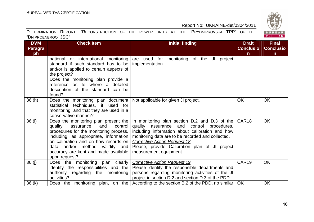BUREAU<br>VERITAS

#### Report No: UKRAINE-det/0304/2011

| <b>DVM</b>     | <b>Check Item</b>                                                                                                                                                                                                                                                                                      | <b>Initial finding</b>                                                                                                                                                                                                                                                                                                               | <b>Draft</b>      | <b>Final</b>     |
|----------------|--------------------------------------------------------------------------------------------------------------------------------------------------------------------------------------------------------------------------------------------------------------------------------------------------------|--------------------------------------------------------------------------------------------------------------------------------------------------------------------------------------------------------------------------------------------------------------------------------------------------------------------------------------|-------------------|------------------|
| <b>Paragra</b> |                                                                                                                                                                                                                                                                                                        |                                                                                                                                                                                                                                                                                                                                      | <b>Conclusio</b>  | <b>Conclusio</b> |
| ph             | national or international monitoring<br>standard if such standard has to be<br>and/or is applied to certain aspects of<br>the project?<br>Does the monitoring plan provide a<br>reference as to where a detailed<br>description of the standard can be<br>found?                                       | are used for monitoring of the JI project<br>implementation.                                                                                                                                                                                                                                                                         | $\mathsf{n}$      | $\mathsf{n}$     |
| 36(h)          | Does the monitoring plan document   Not applicable for given JI project.<br>statistical techniques, if used for<br>monitoring, and that they are used in a<br>conservative manner?                                                                                                                     |                                                                                                                                                                                                                                                                                                                                      | <b>OK</b>         | <b>OK</b>        |
| 36 (i)         | Does the monitoring plan present the<br>quality<br>and<br>control<br>assurance<br>procedures for the monitoring process,<br>including, as appropriate, information<br>on calibration and on how records on<br>data and/or method validity and<br>accuracy are kept and made available<br>upon request? | In monitoring plan section $D.2$ and $D.3$ of the $CAR18$<br>quality<br>assurance and control procedures,<br>including information about calibration and how<br>monitoring data are to be recorded and collected.<br><b>Corrective Action Request 18</b><br>Please, provide Calibration plan of JI project<br>measurement equipment. |                   | <b>OK</b>        |
| 36 (j)         | Does the monitoring plan clearly<br>identify the responsibilities and the<br>authority regarding the monitoring<br>activities?                                                                                                                                                                         | <b>Corrective Action Request 19</b><br>Please identify the responsible departments and<br>persons regarding monitoring activities of the JI<br>project in section D.2 and section D.3 of the PDD.                                                                                                                                    | CAR <sub>19</sub> | <b>OK</b>        |
| 36(k)          | Does the monitoring plan, on the                                                                                                                                                                                                                                                                       | According to the section B.2 of the PDD, no similar                                                                                                                                                                                                                                                                                  | <b>OK</b>         | <b>OK</b>        |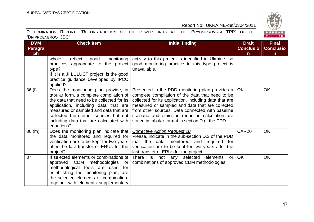BUREAU<br>VERITAS

|                     | DETERMINATION REPORT: "RECONSTRUCTION OF THE POWER UNITS AT THE "PRYDNIPROVSKA TPP" OF THE |  |  |  |  |  |
|---------------------|--------------------------------------------------------------------------------------------|--|--|--|--|--|
| "DNIPROENERGO" JSC" |                                                                                            |  |  |  |  |  |

| <b>DVM</b>     | <b>Check Item</b>                                                                                                                                                                                                                                                                                               | <b>Initial finding</b>                                                                                                                                                                                                                                                                                                                                                         | <b>Draft</b>      | <b>Final</b>     |
|----------------|-----------------------------------------------------------------------------------------------------------------------------------------------------------------------------------------------------------------------------------------------------------------------------------------------------------------|--------------------------------------------------------------------------------------------------------------------------------------------------------------------------------------------------------------------------------------------------------------------------------------------------------------------------------------------------------------------------------|-------------------|------------------|
| <b>Paragra</b> |                                                                                                                                                                                                                                                                                                                 |                                                                                                                                                                                                                                                                                                                                                                                | <b>Conclusio</b>  | <b>Conclusio</b> |
| ph             |                                                                                                                                                                                                                                                                                                                 |                                                                                                                                                                                                                                                                                                                                                                                | $\mathsf{n}$      | n.               |
|                | whole,<br>reflect<br>monitoring<br>good<br>practices appropriate to the project<br>type?<br>If it is a JI LULUCF project, is the good<br>practice guidance developed by IPCC<br>applied?                                                                                                                        | activity to this project is identified in Ukraine, so<br>good monitoring practice to this type project is<br>unavailable.                                                                                                                                                                                                                                                      |                   |                  |
| $36$ (I)       | Does the monitoring plan provide, in<br>tabular form, a complete compilation of<br>the data that need to be collected for its<br>application, including data that are<br>measured or sampled and data that are<br>collected from other sources but not<br>including data that are calculated with<br>equations? | Presented in the PDD monitoring plan provides a  <br>complete compilation of the data that need to be<br>collected for its application, including data that are<br>measured or sampled and data that are collected<br>from other sources. Data connected with baseline<br>scenario and emission reduction calculation are<br>stated in tabular format in section D of the PDD. | <b>OK</b>         | <b>OK</b>        |
| 36(m)          | Does the monitoring plan indicate that<br>the data monitored and required for<br>verification are to be kept for two years<br>after the last transfer of ERUs for the<br>project?                                                                                                                               | <b>Corrective Action Request 20</b><br>Please, indicate in the sub-section D.3 of the PDD<br>that the data monitored and required for<br>verification are to be kept for two years after the<br>last transfer of ERUs for the project                                                                                                                                          | CAR <sub>20</sub> | <b>OK</b>        |
| 37             | If selected elements or combinations of<br>approved CDM methodologies<br>or<br>methodological tools are used<br>for<br>establishing the monitoring plan, are<br>the selected elements or combination,<br>together with elements supplementary                                                                   | There is not any selected<br>elements<br>or 1<br>combinations of approved CDM methodologies                                                                                                                                                                                                                                                                                    | <b>OK</b>         | <b>OK</b>        |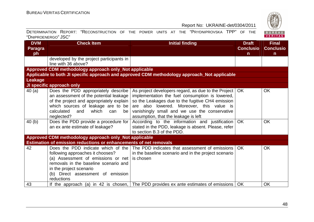

| <b>DVM</b>     | <b>Check Item</b>                                                                                                                                                                                                                   | <b>Initial finding</b>                                                                                                                                                                                                                                                                                | <b>Draft</b>     | <b>Final</b>     |
|----------------|-------------------------------------------------------------------------------------------------------------------------------------------------------------------------------------------------------------------------------------|-------------------------------------------------------------------------------------------------------------------------------------------------------------------------------------------------------------------------------------------------------------------------------------------------------|------------------|------------------|
| <b>Paragra</b> |                                                                                                                                                                                                                                     |                                                                                                                                                                                                                                                                                                       | <b>Conclusio</b> | <b>Conclusio</b> |
| ph             |                                                                                                                                                                                                                                     |                                                                                                                                                                                                                                                                                                       | n.               | $\mathsf{n}$     |
|                | developed by the project participants in                                                                                                                                                                                            |                                                                                                                                                                                                                                                                                                       |                  |                  |
|                | line with 36 above?                                                                                                                                                                                                                 |                                                                                                                                                                                                                                                                                                       |                  |                  |
|                | Approved CDM methodology approach only_Not applicable                                                                                                                                                                               |                                                                                                                                                                                                                                                                                                       |                  |                  |
|                |                                                                                                                                                                                                                                     | Applicable to both JI specific approach and approved CDM methodology approach_Not applicable                                                                                                                                                                                                          |                  |                  |
| <b>Leakage</b> |                                                                                                                                                                                                                                     |                                                                                                                                                                                                                                                                                                       |                  |                  |
|                | JI specific approach only                                                                                                                                                                                                           |                                                                                                                                                                                                                                                                                                       |                  |                  |
| 40(a)          | Does the PDD appropriately describe<br>an assessment of the potential leakage<br>of the project and appropriately explain<br>which sources of leakage are to be<br>calculated<br>which<br>and<br>can<br>be<br>neglected?            | As project developers regard, as due to the Project   OK<br>implementation the fuel consumption is lowered,<br>so the Leakages due to the fugitive CH4 emission<br>are also lowered. Moreover, this value is<br>vanishingly small and we use the conservative<br>assumption, that the leakage is left |                  | OK               |
| 40(b)          | Does the PDD provide a procedure for<br>an ex ante estimate of leakage?                                                                                                                                                             | According to the information and justification<br>stated in the PDD, leakage is absent. Please, refer<br>to section B.3 of the PDD.                                                                                                                                                                   | <b>OK</b>        | <b>OK</b>        |
|                | Approved CDM methodology approach only_Not applicable                                                                                                                                                                               |                                                                                                                                                                                                                                                                                                       |                  |                  |
|                | Estimation of emission reductions or enhancements of net removals                                                                                                                                                                   |                                                                                                                                                                                                                                                                                                       |                  |                  |
| 42             | Does the PDD indicate which of the<br>following approaches it chooses?<br>(a) Assessment of emissions or net<br>removals in the baseline scenario and<br>in the project scenario<br>(b) Direct assessment of emission<br>reductions | The PDD indicates that assessment of emissions<br>in the baseline scenario and in the project scenario<br>is chosen                                                                                                                                                                                   | <b>OK</b>        | <b>OK</b>        |
| 43             |                                                                                                                                                                                                                                     | If the approach (a) in 42 is chosen, The PDD provides ex ante estimates of emissions                                                                                                                                                                                                                  | <b>OK</b>        | <b>OK</b>        |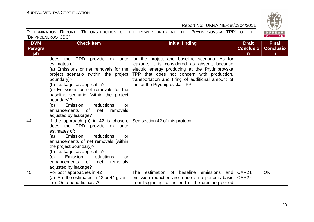

| <b>DVM</b> | <b>Check Item</b>                                                                                                                                                                                                                                                                                                                         | <b>Initial finding</b>                                                                                                                                                                        | <b>Draft</b>                           | <b>Final</b>     |
|------------|-------------------------------------------------------------------------------------------------------------------------------------------------------------------------------------------------------------------------------------------------------------------------------------------------------------------------------------------|-----------------------------------------------------------------------------------------------------------------------------------------------------------------------------------------------|----------------------------------------|------------------|
| Paragra    |                                                                                                                                                                                                                                                                                                                                           |                                                                                                                                                                                               | <b>Conclusio</b>                       | <b>Conclusio</b> |
| ph         |                                                                                                                                                                                                                                                                                                                                           |                                                                                                                                                                                               | $\mathsf{n}$                           | $\mathsf{n}$     |
|            | the PDD provide ex ante<br>does<br>estimates of:<br>(a) Emissions or net removals for the<br>project scenario (within the project)                                                                                                                                                                                                        | for the project and baseline scenario. As for<br>leakage, it is considered as absent, because<br>electric energy producing at the Prydniprovska<br>TPP that does not concern with production, |                                        |                  |
|            | boundary)?<br>(b) Leakage, as applicable?                                                                                                                                                                                                                                                                                                 | transportation and firing of additional amount of<br>fuel at the Prydniprovska TPP                                                                                                            |                                        |                  |
|            | (c) Emissions or net removals for the<br>baseline scenario (within the project<br>boundary)?                                                                                                                                                                                                                                              |                                                                                                                                                                                               |                                        |                  |
|            | (d)<br>Emission<br>reductions<br>or                                                                                                                                                                                                                                                                                                       |                                                                                                                                                                                               |                                        |                  |
|            | enhancements<br>0f<br>net<br>removals<br>adjusted by leakage?                                                                                                                                                                                                                                                                             |                                                                                                                                                                                               |                                        |                  |
| 44         | If the approach (b) in 42 is chosen,<br>does the PDD provide ex ante<br>estimates of:<br>Emission<br>reductions<br>(a)<br>or<br>enhancements of net removals (within<br>the project boundary)?<br>(b) Leakage, as applicable?<br>Emission<br>(c)<br>reductions<br><u>or</u><br>enhancements of<br>net<br>removals<br>adjusted by leakage? | See section 42 of this protocol                                                                                                                                                               |                                        |                  |
| 45         | For both approaches in 42<br>(a) Are the estimates in 43 or 44 given:<br>(i) On a periodic basis?                                                                                                                                                                                                                                         | estimation of baseline<br>The<br>emissions<br>and<br>emission reduction are made on a periodic basis<br>from beginning to the end of the crediting period                                     | CAR <sub>21</sub><br>CAR <sub>22</sub> | <b>OK</b>        |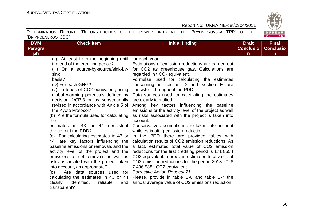BUREAU<br>VERITAS

#### Report No: UKRAINE-det/0304/2011

| <b>DVM</b>     | <b>Check Item</b>                         | <b>Initial finding</b>                                 | <b>Draft</b>     | <b>Final</b>     |
|----------------|-------------------------------------------|--------------------------------------------------------|------------------|------------------|
| <b>Paragra</b> |                                           |                                                        | <b>Conclusio</b> | <b>Conclusio</b> |
| ph             |                                           |                                                        | n                | $\mathsf{n}$     |
|                | (ii) At least from the beginning until    | for each year.                                         |                  |                  |
|                | the end of the crediting period?          | Estimations of emission reductions are carried out     |                  |                  |
|                | (iii) On a source-by-source/sink-by-      | for CO2 as greenhouse gas. Calculations are            |                  |                  |
|                | sink                                      | regarded in $t CO2$ equivalent.                        |                  |                  |
|                | basis?                                    | Formulae used for calculating the estimates            |                  |                  |
|                | (iv) For each GHG?                        | concerning in section D and section E are              |                  |                  |
|                | (v) In tones of CO2 equivalent, using     | consistent throughout the PDD.                         |                  |                  |
|                | global warming potentials defined by      | Data sources used for calculating the estimates        |                  |                  |
|                | decision 2/CP.3 or as subsequently        | are clearly identified.                                |                  |                  |
|                | revised in accordance with Article 5 of   | Among key factors influencing the baseline             |                  |                  |
|                | the Kyoto Protocol?                       | emissions or the activity level of the project as well |                  |                  |
|                | (b) Are the formula used for calculating  | as risks associated with the project is taken into     |                  |                  |
|                | the                                       | account.                                               |                  |                  |
|                | estimates in 43 or 44 consistent          | Conservative assumptions are taken into account        |                  |                  |
|                | throughout the PDD?                       | while estimating emission reduction.                   |                  |                  |
|                | (c) For calculating estimates in 43 or    | In the PDD there are provided tables with              |                  |                  |
|                | 44, are key factors influencing the       | calculation results of CO2 emission reductions. As     |                  |                  |
|                | baseline emissions or removals and the    | a fact, estimated total value of CO2 emission          |                  |                  |
|                | activity level of the project and the     | reductions for the first crediting period is 171 855 t |                  |                  |
|                | emissions or net removals as well as      | CO2 equivalent; moreover, estimated total value of     |                  |                  |
|                | risks associated with the project taken   | CO2 emission reductions for the period 2013-2028       |                  |                  |
|                | into account, as appropriate?             | 7 496 888 t CO2 equivalent.                            |                  |                  |
|                | (d)<br>Are data sources used for          | <b>Corrective Action Request 21</b>                    |                  |                  |
|                | calculating the estimates in 43 or 44     | Please, provide in table E-6 and table E-7 the         |                  |                  |
|                | identified,<br>clearly<br>reliable<br>and | annual average value of CO2 emissions reduction.       |                  |                  |
|                | transparent?                              |                                                        |                  |                  |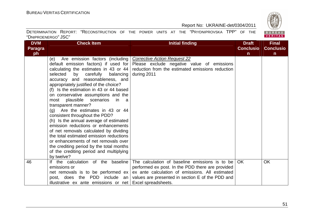BUREAU<br>VERITAS

#### Report No: UKRAINE-det/0304/2011

| <b>DVM</b>     | <b>Check Item</b>                                         | <b>Initial finding</b>                           | <b>Draft</b>     | <b>Final</b>     |
|----------------|-----------------------------------------------------------|--------------------------------------------------|------------------|------------------|
| <b>Paragra</b> |                                                           |                                                  | <b>Conclusio</b> | <b>Conclusio</b> |
| ph             |                                                           |                                                  | $\mathsf{n}$     | $\mathsf{n}$     |
|                | Are emission factors (including)<br>(e)                   | <b>Corrective Action Request 22</b>              |                  |                  |
|                | default emission factors) if used for                     | Please exclude negative value of emissions       |                  |                  |
|                | calculating the estimates in 43 or 44 $\vert$             | reduction from the estimated emissions reduction |                  |                  |
|                | selected<br>by<br>carefully<br>balancing                  | during 2011                                      |                  |                  |
|                | accuracy and reasonableness, and                          |                                                  |                  |                  |
|                | appropriately justified of the choice?                    |                                                  |                  |                  |
|                | (f) Is the estimation in 43 or 44 based                   |                                                  |                  |                  |
|                | on conservative assumptions and the                       |                                                  |                  |                  |
|                | plausible scenarios<br>most<br>-in<br>- a                 |                                                  |                  |                  |
|                | transparent manner?                                       |                                                  |                  |                  |
|                | $(g)$ Are the estimates in 43 or 44                       |                                                  |                  |                  |
|                | consistent throughout the PDD?                            |                                                  |                  |                  |
|                | (h) Is the annual average of estimated                    |                                                  |                  |                  |
|                | emission reductions or enhancements                       |                                                  |                  |                  |
|                | of net removals calculated by dividing                    |                                                  |                  |                  |
|                | the total estimated emission reductions                   |                                                  |                  |                  |
|                | or enhancements of net removals over                      |                                                  |                  |                  |
|                | the crediting period by the total months                  |                                                  |                  |                  |
|                | of the crediting period and multiplying                   |                                                  |                  |                  |
|                | by twelve?                                                |                                                  |                  |                  |
| 46             | If the calculation of the baseline                        | The calculation of baseline emissions is to be   | <b>OK</b>        | <b>OK</b>        |
|                | emissions or                                              | performed ex post. In the PDD there are provided |                  |                  |
|                | net removals is to be performed $ex$                      | ex ante calculation of emissions. All estimated  |                  |                  |
|                | post, does the PDD include an                             | values are presented in section E of the PDD and |                  |                  |
|                | illustrative ex ante emissions or net Excel spreadsheets. |                                                  |                  |                  |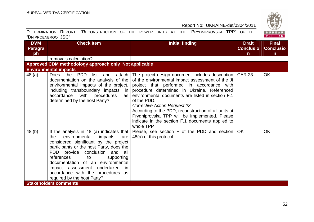

| <b>DVM</b>           | <b>Check Item</b>                                                                                                                                                                                                                                                                                                                                                                      | <b>Initial finding</b>                                                                                                                                                                                                                                                                                                                                                                                                                                                                | <b>Draft</b>                     | <b>Final</b>                     |
|----------------------|----------------------------------------------------------------------------------------------------------------------------------------------------------------------------------------------------------------------------------------------------------------------------------------------------------------------------------------------------------------------------------------|---------------------------------------------------------------------------------------------------------------------------------------------------------------------------------------------------------------------------------------------------------------------------------------------------------------------------------------------------------------------------------------------------------------------------------------------------------------------------------------|----------------------------------|----------------------------------|
| <b>Paragra</b><br>ph |                                                                                                                                                                                                                                                                                                                                                                                        |                                                                                                                                                                                                                                                                                                                                                                                                                                                                                       | <b>Conclusio</b><br>$\mathsf{n}$ | <b>Conclusio</b><br>$\mathsf{n}$ |
|                      | removals calculation?                                                                                                                                                                                                                                                                                                                                                                  |                                                                                                                                                                                                                                                                                                                                                                                                                                                                                       |                                  |                                  |
|                      | Approved CDM methodology approach only_Not applicable                                                                                                                                                                                                                                                                                                                                  |                                                                                                                                                                                                                                                                                                                                                                                                                                                                                       |                                  |                                  |
|                      | <b>Environmental impacts</b>                                                                                                                                                                                                                                                                                                                                                           |                                                                                                                                                                                                                                                                                                                                                                                                                                                                                       |                                  |                                  |
| 48 (a)               | the PDD<br>Does<br>list<br>attach<br>and<br>documentation on the analysis of the<br>environmental impacts of the project,<br>including transboundary impacts, in<br>accordance<br>with procedures<br>as<br>determined by the host Party?                                                                                                                                               | The project design document includes description<br>of the environmental impact assessment of the JI<br>project that performed in accordance with<br>procedure determined in Ukraine. Referenced<br>environmental documents are listed in section F.1<br>of the PDD.<br><b>Corrective Action Request 23</b><br>According to the PDD, reconstruction of all units at<br>Prydniprovska TPP will be implemented. Please<br>indicate in the section F.1 documents applied to<br>whole TPP | <b>CAR 23</b>                    | OK                               |
| 48(b)                | If the analysis in 48 (a) indicates that<br>environmental impacts<br>the t<br>are<br>considered significant by the project<br>participants or the host Party, does the<br>PDD provide conclusion and all<br>references<br>to<br>supporting<br>documentation of an environmental<br>impact assessment undertaken in<br>accordance with the procedures as<br>required by the host Party? | Please, see section F of the PDD and section<br>48(a) of this protocol                                                                                                                                                                                                                                                                                                                                                                                                                | OK                               | <b>OK</b>                        |
|                      | <b>Stakeholders comments</b>                                                                                                                                                                                                                                                                                                                                                           |                                                                                                                                                                                                                                                                                                                                                                                                                                                                                       |                                  |                                  |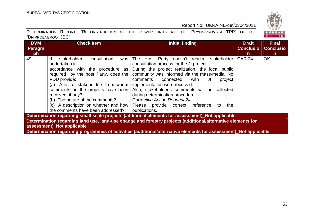

| <b>DVM</b><br>Paragra<br>ph l                                                                                                                                                                                                                                                                                                                                      | <b>Check Item</b>                                                                                                                                                                                                                                                                                                                                                        | <b>Initial finding</b>                                                                                                                                                                                                                                                                                                                                                                                                                                                         | <b>Draft</b><br><b>Conclusio</b><br>n. | <b>Final</b><br><b>Conclusio</b><br>$\mathsf{n}$ |  |  |  |
|--------------------------------------------------------------------------------------------------------------------------------------------------------------------------------------------------------------------------------------------------------------------------------------------------------------------------------------------------------------------|--------------------------------------------------------------------------------------------------------------------------------------------------------------------------------------------------------------------------------------------------------------------------------------------------------------------------------------------------------------------------|--------------------------------------------------------------------------------------------------------------------------------------------------------------------------------------------------------------------------------------------------------------------------------------------------------------------------------------------------------------------------------------------------------------------------------------------------------------------------------|----------------------------------------|--------------------------------------------------|--|--|--|
| 49                                                                                                                                                                                                                                                                                                                                                                 | lf<br>consultation<br>stakeholder<br>was<br>undertaken in<br>accordance with the procedure as<br>required by the host Party, does the<br>PDD provide:<br>(a) A list of stakeholders from whom<br>comments on the projects have been<br>received, if any?<br>(b) The nature of the comments?<br>(c) A description on whether and how<br>the comments have been addressed? | Host Party doesn't require stakeholder<br>The<br>consultation process for the JI project.<br>During the project realization, the local public<br>community was informed via the mass-media. No<br>comments<br>connected<br>with<br>JI<br>project<br>implementation were received.<br>Also, stakeholder's comments will be collected<br>during determination procedure<br><b>Corrective Action Request 24</b><br>Please provide correct reference<br>the<br>to<br>publications. | <b>CAR 24</b>                          | <b>OK</b>                                        |  |  |  |
| Determination regarding small-scale projects (additional elements for assessment) Not applicable<br>Determination regarding land use, land-use change and forestry projects (additional/alternative elements for<br>assessment) Not applicable<br>Determination regarding programmes of activities (additional/alternative elements for assessment) Not applicable |                                                                                                                                                                                                                                                                                                                                                                          |                                                                                                                                                                                                                                                                                                                                                                                                                                                                                |                                        |                                                  |  |  |  |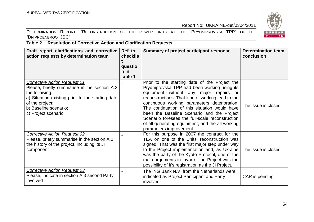DETERMINATION REPORT: "RECONSTRUCTION OF THE POWER UNITS AT THE "PRYDNIPROVSKA TPP" OF THE "DNIPROENERGO" JSC"



# **Table 2 Resolution of Corrective Action and Clarification Requests**

| Draft report clarifications and corrective<br>action requests by determination team                                                                                                                                          | Ref. to<br><b>checklis</b><br>questio<br>$n$ in | <b>Summary of project participant response</b>                                                                                                                                                                                                                                                                                                                                                                                                                                | <b>Determination team</b><br>conclusion |
|------------------------------------------------------------------------------------------------------------------------------------------------------------------------------------------------------------------------------|-------------------------------------------------|-------------------------------------------------------------------------------------------------------------------------------------------------------------------------------------------------------------------------------------------------------------------------------------------------------------------------------------------------------------------------------------------------------------------------------------------------------------------------------|-----------------------------------------|
|                                                                                                                                                                                                                              | table 1                                         |                                                                                                                                                                                                                                                                                                                                                                                                                                                                               |                                         |
| <b>Corrective Action Request 01</b><br>Please, briefly summarise in the section A.2<br>the following:<br>a) Situation existing prior to the starting date<br>of the project;<br>b) Baseline scenario;<br>c) Project scenario |                                                 | Prior to the starting date of the Project the<br>Prydniprovska TPP had been working using its<br>equipment without any major repairs or<br>reconstructions. That kind of working lead to the<br>continuous working parameters deterioration.<br>The continuation of this situation would have<br>been the Baseline Scenario and the Project<br>Scenario foresees the full-scale reconstruction<br>of all generating equipment, and the all working<br>parameters improvement. | The issue is closed                     |
| <b>Corrective Action Request 02</b><br>Please, briefly summarise in the section A.2<br>the history of the project, including its JI<br>component                                                                             |                                                 | For this purpose in 2007 the contract for the<br>TEA on one of the Units' reconstruction was<br>signed. That was the first major step under way<br>to the Project implementation and, as Ukraine<br>was the party of the Kyoto Protocol, one of the<br>main arguments in favor of the Project was the<br>possibility of it's registration as the JI Project.                                                                                                                  | The issue is closed                     |
| <b>Corrective Action Request 03</b><br>Please, indicate in section A.3 second Party<br>involved                                                                                                                              |                                                 | The ING Bank N.V. from the Netherlands were<br>indicated as Project Participant and Party<br>involved                                                                                                                                                                                                                                                                                                                                                                         | CAR is pending                          |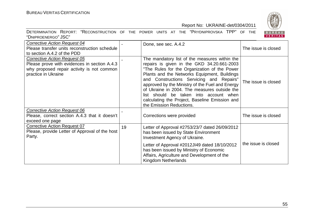

| <b>Corrective Action Request 04</b><br>Please transfer units reconstruction schedule<br>to section A.4.2 of the PDD                                      |    | Done, see sec. A.4.2                                                                                                                                                                                                                                                                                                                                                                                                                                               | The issue is closed |
|----------------------------------------------------------------------------------------------------------------------------------------------------------|----|--------------------------------------------------------------------------------------------------------------------------------------------------------------------------------------------------------------------------------------------------------------------------------------------------------------------------------------------------------------------------------------------------------------------------------------------------------------------|---------------------|
| <b>Corrective Action Request 05</b><br>Please prove with evidences in section A.4.3<br>why proposed repair activity is not common<br>practice in Ukraine |    | The mandatory list of the measures within the<br>repairs is given in the GKD 34.20.661-2003<br>"The Rules for the Organization of the Power<br>Plants and the Networks Equipment, Buildings<br>and Constructions Servicing and Repairs"<br>approved by the Ministry of the Fuel and Energy<br>of Ukraine in 2004. The measures outside the<br>list should be taken into account when<br>calculating the Project, Baseline Emission and<br>the Emission Reductions. | The issue is closed |
| <b>Corrective Action Request 06</b><br>Please, correct section A.4.3 that it doesn't<br>exceed one page                                                  |    | Corrections were provided                                                                                                                                                                                                                                                                                                                                                                                                                                          | The issue is closed |
| <b>Corrective Action Request 07</b><br>Please, provide Letter of Approval of the host<br>Party.                                                          | 19 | Letter of Approval #2753/23/7 dated 26/09/2012<br>has been issued by State Environment<br>Investment Agency of Ukraine.                                                                                                                                                                                                                                                                                                                                            |                     |
|                                                                                                                                                          |    | Letter of Approval #2012JI49 dated 18/10/2012<br>has been issued by Ministry of Economic<br>Affairs, Agriculture and Development of the<br>Kingdom Netherlands                                                                                                                                                                                                                                                                                                     | the issue is closed |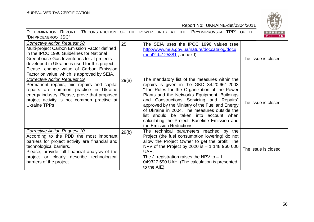

| <b>Corrective Action Request 08</b><br>Multi-project Carbon Emission Factor defined<br>in the IPCC 1996 Guidelines for National<br>Greenhouse Gas Inventories for JI projects<br>developed in Ukraine is used for this project.<br>Please, change value of Carbon Emission<br>Factor on value, which is approved by SEIA. | 25    | The SEIA uses the IPCC 1996 values (see<br>http://www.neia.gov.ua/nature/doccatalog/docu<br>$ment$ ?id=125381, annex I)                                                                                                                                                                                                                                                                                                                                            | The issue is closed |
|---------------------------------------------------------------------------------------------------------------------------------------------------------------------------------------------------------------------------------------------------------------------------------------------------------------------------|-------|--------------------------------------------------------------------------------------------------------------------------------------------------------------------------------------------------------------------------------------------------------------------------------------------------------------------------------------------------------------------------------------------------------------------------------------------------------------------|---------------------|
| <b>Corrective Action Request 09</b><br>Permanent repairs, mid repairs and capital<br>repairs are common practise in Ukraine<br>energy industry. Please, prove that proposed<br>project activity is not common practise at<br><b>Ukraine TPPs</b>                                                                          | 29(a) | The mandatory list of the measures within the<br>repairs is given in the GKD 34.20.661-2003<br>"The Rules for the Organization of the Power<br>Plants and the Networks Equipment, Buildings<br>and Constructions Servicing and Repairs"<br>approved by the Ministry of the Fuel and Energy<br>of Ukraine in 2004. The measures outside the<br>list should be taken into account when<br>calculating the Project, Baseline Emission and<br>the Emission Reductions. | The issue is closed |
| Corrective Action Request 10<br>According to the PDD the most important<br>barriers for project activity are financial and<br>technological barriers.<br>Please, provide full financial analysis of the<br>project or clearly describe technological<br>barriers of the project                                           | 29(b) | The technical parameters reached by the<br>Project (the fuel consumption lowering) do not<br>allow the Project Owner to get the profit. The<br>NPV of the Project by 2020 is $-1$ 148 960 000<br>UAH.<br>The JI registration raises the NPV to $-1$<br>049327 590 UAH. (The calculation is presented<br>to the AIE).                                                                                                                                               | The issue is closed |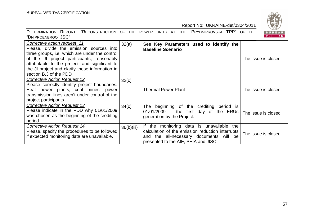



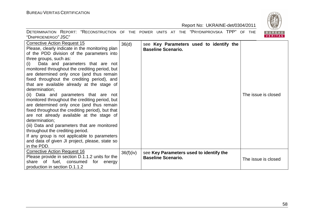

| <b>Corrective Action Request 15</b><br>Please, clearly indicate in the monitoring plan<br>of the PDD division of the parameters into<br>three groups, such as:<br>Data and parameters that are not<br>(i)<br>monitored throughout the crediting period, but<br>are determined only once (and thus remain<br>fixed throughout the crediting period), and<br>that are available already at the stage of<br>determination;<br>(ii) Data and parameters that are not<br>monitored throughout the crediting period, but<br>are determined only once (and thus remain<br>fixed throughout the crediting period), but that<br>are not already available at the stage of<br>determination;<br>(iii) Data and parameters that are monitored<br>throughout the crediting period.<br>If any group is not applicable to parameters<br>and data of given JI project, please, state so<br>in the PDD. | 36(d)     | see Key Parameters used to identify the<br><b>Baseline Scenario.</b> | The issue is closed |
|-----------------------------------------------------------------------------------------------------------------------------------------------------------------------------------------------------------------------------------------------------------------------------------------------------------------------------------------------------------------------------------------------------------------------------------------------------------------------------------------------------------------------------------------------------------------------------------------------------------------------------------------------------------------------------------------------------------------------------------------------------------------------------------------------------------------------------------------------------------------------------------------|-----------|----------------------------------------------------------------------|---------------------|
| <b>Corrective Action Request 16</b><br>Please provide in section D.1.1.2 units for the<br>share of fuel, consumed<br>for<br>energy<br>production in section D.1.1.2                                                                                                                                                                                                                                                                                                                                                                                                                                                                                                                                                                                                                                                                                                                     | 36(f)(iv) | see Key Parameters used to identify the<br><b>Baseline Scenario.</b> | The issue is closed |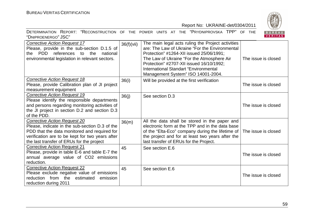